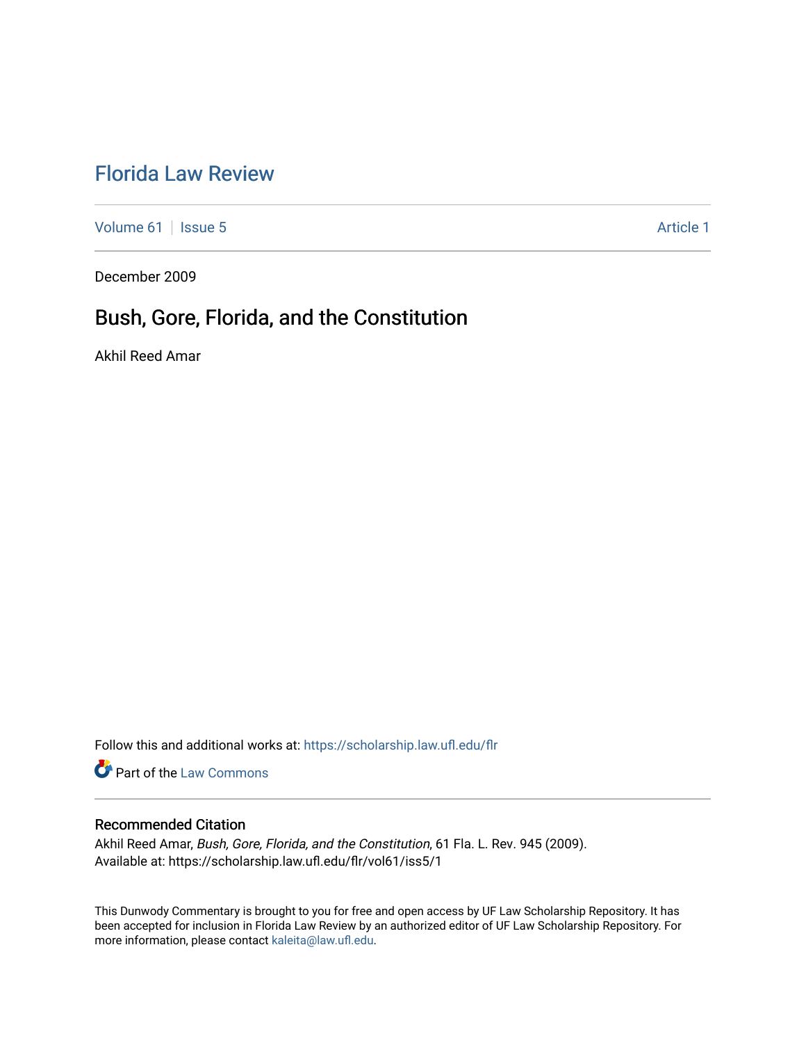# [Florida Law Review](https://scholarship.law.ufl.edu/flr)

[Volume 61](https://scholarship.law.ufl.edu/flr/vol61) | [Issue 5](https://scholarship.law.ufl.edu/flr/vol61/iss5) Article 1

December 2009

# Bush, Gore, Florida, and the Constitution

Akhil Reed Amar

Follow this and additional works at: [https://scholarship.law.ufl.edu/flr](https://scholarship.law.ufl.edu/flr?utm_source=scholarship.law.ufl.edu%2Fflr%2Fvol61%2Fiss5%2F1&utm_medium=PDF&utm_campaign=PDFCoverPages)

Part of the [Law Commons](http://network.bepress.com/hgg/discipline/578?utm_source=scholarship.law.ufl.edu%2Fflr%2Fvol61%2Fiss5%2F1&utm_medium=PDF&utm_campaign=PDFCoverPages)

# Recommended Citation

Akhil Reed Amar, Bush, Gore, Florida, and the Constitution, 61 Fla. L. Rev. 945 (2009). Available at: https://scholarship.law.ufl.edu/flr/vol61/iss5/1

This Dunwody Commentary is brought to you for free and open access by UF Law Scholarship Repository. It has been accepted for inclusion in Florida Law Review by an authorized editor of UF Law Scholarship Repository. For more information, please contact [kaleita@law.ufl.edu.](mailto:kaleita@law.ufl.edu)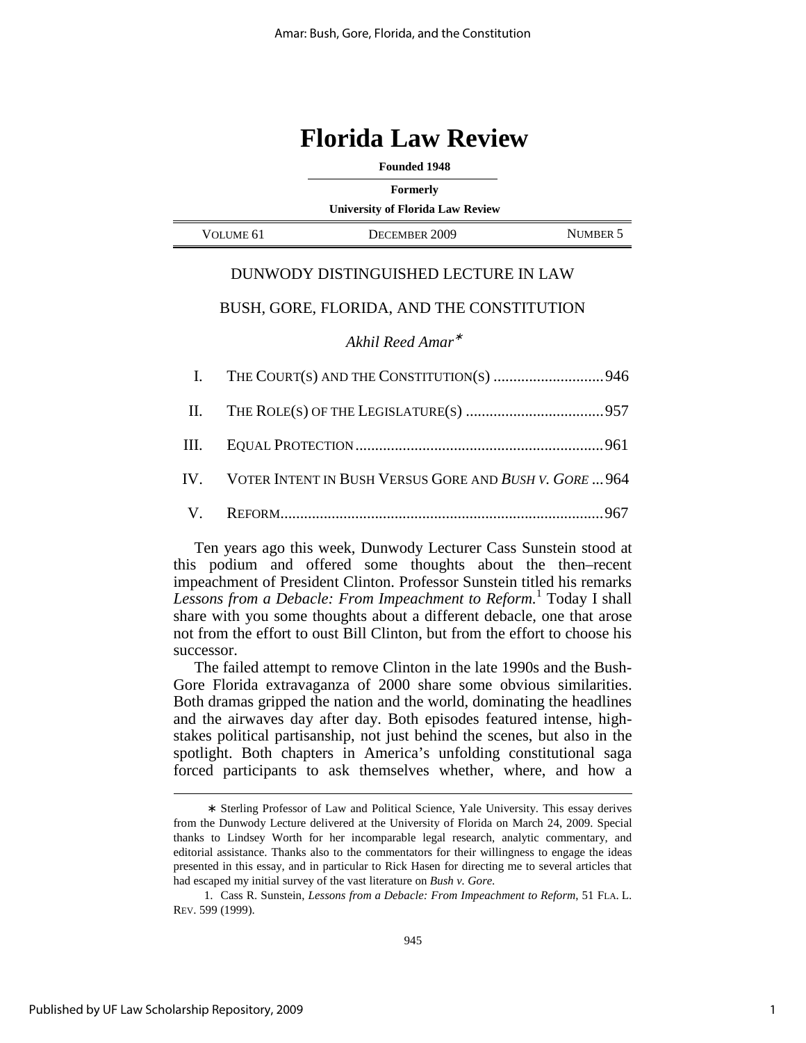# **Florida Law Review**

## **Founded 1948**

### **Formerly**

**University of Florida Law Review** 

| VOLUME <sub>61</sub> | DECEMBER 2009 | NUMBER 5 |
|----------------------|---------------|----------|
|----------------------|---------------|----------|

## DUNWODY DISTINGUISHED LECTURE IN LAW

## BUSH, GORE, FLORIDA, AND THE CONSTITUTION

# *Akhil Reed Amar*<sup>∗</sup>

| I. THE COURT(S) AND THE CONSTITUTION(S) $\ldots$ $\ldots$ $\ldots$ $\ldots$ $\ldots$ $\ldots$ |  |
|-----------------------------------------------------------------------------------------------|--|
|                                                                                               |  |
|                                                                                               |  |
| IV. VOTER INTENT IN BUSH VERSUS GORE AND BUSH V. GORE  964                                    |  |
|                                                                                               |  |

Ten years ago this week, Dunwody Lecturer Cass Sunstein stood at this podium and offered some thoughts about the then–recent impeachment of President Clinton. Professor Sunstein titled his remarks *Lessons from a Debacle: From Impeachment to Reform.*<sup>1</sup> Today I shall share with you some thoughts about a different debacle, one that arose not from the effort to oust Bill Clinton, but from the effort to choose his successor.

The failed attempt to remove Clinton in the late 1990s and the Bush-Gore Florida extravaganza of 2000 share some obvious similarities. Both dramas gripped the nation and the world, dominating the headlines and the airwaves day after day. Both episodes featured intense, highstakes political partisanship, not just behind the scenes, but also in the spotlight. Both chapters in America's unfolding constitutional saga forced participants to ask themselves whether, where, and how a

<sup>∗</sup> Sterling Professor of Law and Political Science, Yale University. This essay derives from the Dunwody Lecture delivered at the University of Florida on March 24, 2009. Special thanks to Lindsey Worth for her incomparable legal research, analytic commentary, and editorial assistance. Thanks also to the commentators for their willingness to engage the ideas presented in this essay, and in particular to Rick Hasen for directing me to several articles that had escaped my initial survey of the vast literature on *Bush v. Gore*.

 <sup>1.</sup> Cass R. Sunstein, *Lessons from a Debacle: From Impeachment to Reform*, 51 FLA. L. REV. 599 (1999).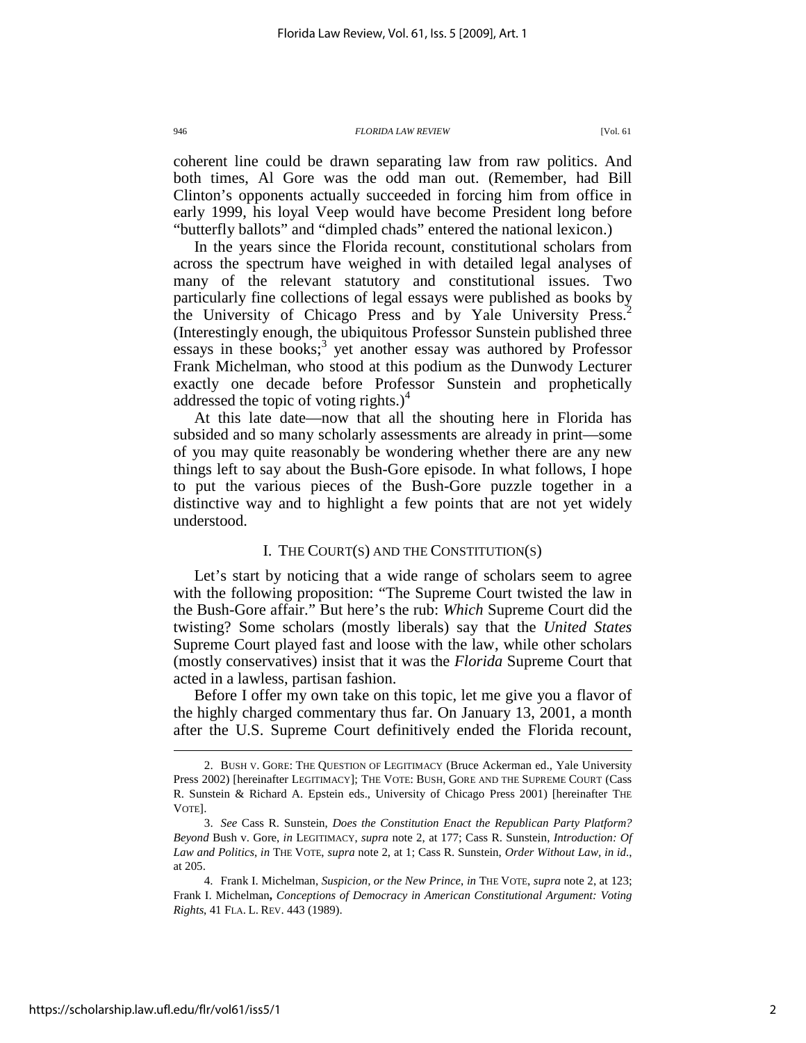coherent line could be drawn separating law from raw politics. And both times, Al Gore was the odd man out. (Remember, had Bill Clinton's opponents actually succeeded in forcing him from office in early 1999, his loyal Veep would have become President long before "butterfly ballots" and "dimpled chads" entered the national lexicon.)

In the years since the Florida recount, constitutional scholars from across the spectrum have weighed in with detailed legal analyses of many of the relevant statutory and constitutional issues. Two particularly fine collections of legal essays were published as books by the University of Chicago Press and by Yale University Press.<sup>2</sup> (Interestingly enough, the ubiquitous Professor Sunstein published three  $\text{essays}$  in these books;<sup>3</sup> yet another essay was authored by Professor Frank Michelman, who stood at this podium as the Dunwody Lecturer exactly one decade before Professor Sunstein and prophetically addressed the topic of voting rights.) $\textsuperscript{4}$ 

At this late date—now that all the shouting here in Florida has subsided and so many scholarly assessments are already in print—some of you may quite reasonably be wondering whether there are any new things left to say about the Bush-Gore episode. In what follows, I hope to put the various pieces of the Bush-Gore puzzle together in a distinctive way and to highlight a few points that are not yet widely understood.

## I. THE COURT(S) AND THE CONSTITUTION(S)

Let's start by noticing that a wide range of scholars seem to agree with the following proposition: "The Supreme Court twisted the law in the Bush-Gore affair." But here's the rub: *Which* Supreme Court did the twisting? Some scholars (mostly liberals) say that the *United States* Supreme Court played fast and loose with the law, while other scholars (mostly conservatives) insist that it was the *Florida* Supreme Court that acted in a lawless, partisan fashion.

Before I offer my own take on this topic, let me give you a flavor of the highly charged commentary thus far. On January 13, 2001, a month after the U.S. Supreme Court definitively ended the Florida recount,

 <sup>2.</sup> BUSH V. GORE: THE QUESTION OF LEGITIMACY (Bruce Ackerman ed., Yale University Press 2002) [hereinafter LEGITIMACY]; THE VOTE: BUSH, GORE AND THE SUPREME COURT (Cass R. Sunstein & Richard A. Epstein eds., University of Chicago Press 2001) [hereinafter THE VOTE].

 <sup>3.</sup> *See* Cass R. Sunstein, *Does the Constitution Enact the Republican Party Platform? Beyond* Bush v. Gore, *in* LEGITIMACY, *supra* note 2, at 177; Cass R. Sunstein, *Introduction: Of Law and Politics*, *in* THE VOTE, *supra* note 2, at 1; Cass R. Sunstein, *Order Without Law, in id.*, at 205.

 <sup>4.</sup> Frank I. Michelman, *Suspicion, or the New Prince*, *in* THE VOTE, *supra* note 2, at 123; Frank I. Michelman**,** *Conceptions of Democracy in American Constitutional Argument: Voting Rights*, 41 FLA. L. REV. 443 (1989).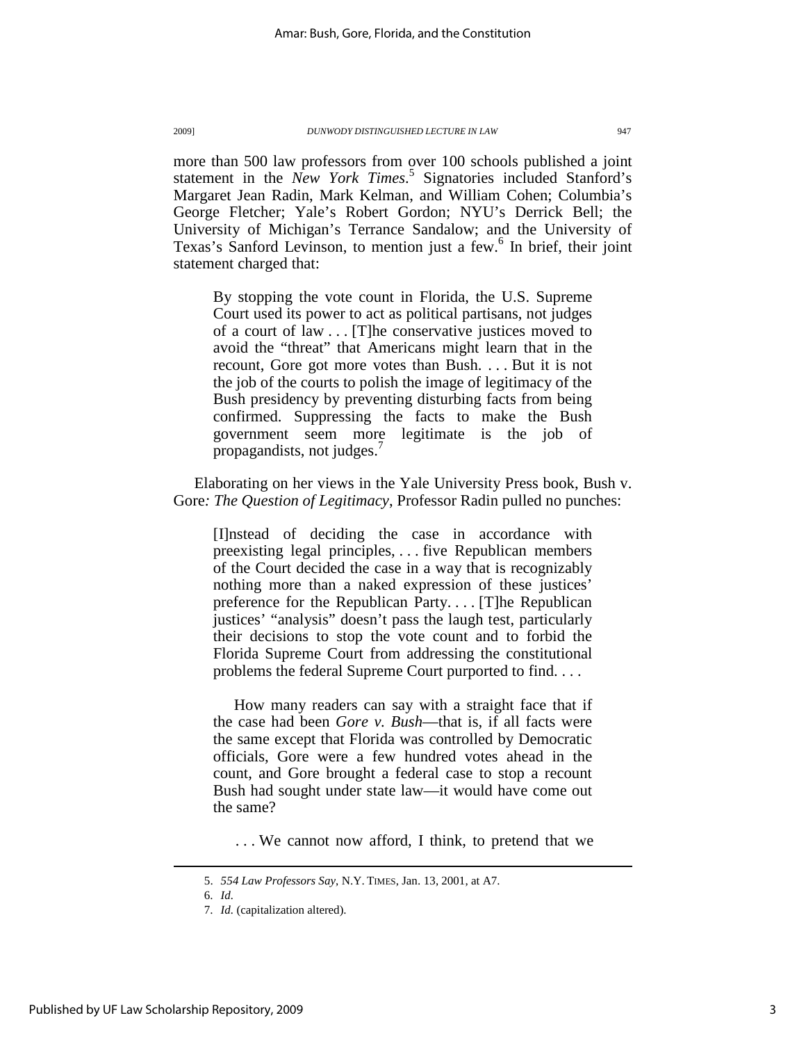more than 500 law professors from over 100 schools published a joint statement in the *New York Times*. 5 Signatories included Stanford's Margaret Jean Radin, Mark Kelman, and William Cohen; Columbia's George Fletcher; Yale's Robert Gordon; NYU's Derrick Bell; the University of Michigan's Terrance Sandalow; and the University of Texas's Sanford Levinson, to mention just a few.<sup>6</sup> In brief, their joint statement charged that:

By stopping the vote count in Florida, the U.S. Supreme Court used its power to act as political partisans, not judges of a court of law . . . [T]he conservative justices moved to avoid the "threat" that Americans might learn that in the recount, Gore got more votes than Bush. . . . But it is not the job of the courts to polish the image of legitimacy of the Bush presidency by preventing disturbing facts from being confirmed. Suppressing the facts to make the Bush government seem more legitimate is the job of propagandists, not judges.<sup>7</sup>

Elaborating on her views in the Yale University Press book, Bush v. Gore*: The Question of Legitimacy*, Professor Radin pulled no punches:

[I]nstead of deciding the case in accordance with preexisting legal principles, . . . five Republican members of the Court decided the case in a way that is recognizably nothing more than a naked expression of these justices' preference for the Republican Party. . . . [T]he Republican justices' "analysis" doesn't pass the laugh test, particularly their decisions to stop the vote count and to forbid the Florida Supreme Court from addressing the constitutional problems the federal Supreme Court purported to find. . . .

How many readers can say with a straight face that if the case had been *Gore v. Bush*—that is, if all facts were the same except that Florida was controlled by Democratic officials, Gore were a few hundred votes ahead in the count, and Gore brought a federal case to stop a recount Bush had sought under state law—it would have come out the same?

. . . We cannot now afford, I think, to pretend that we

l

 <sup>5.</sup> *554 Law Professors Say*, N.Y. TIMES, Jan. 13, 2001, at A7.

 <sup>6.</sup> *Id.*

 <sup>7.</sup> *Id.* (capitalization altered).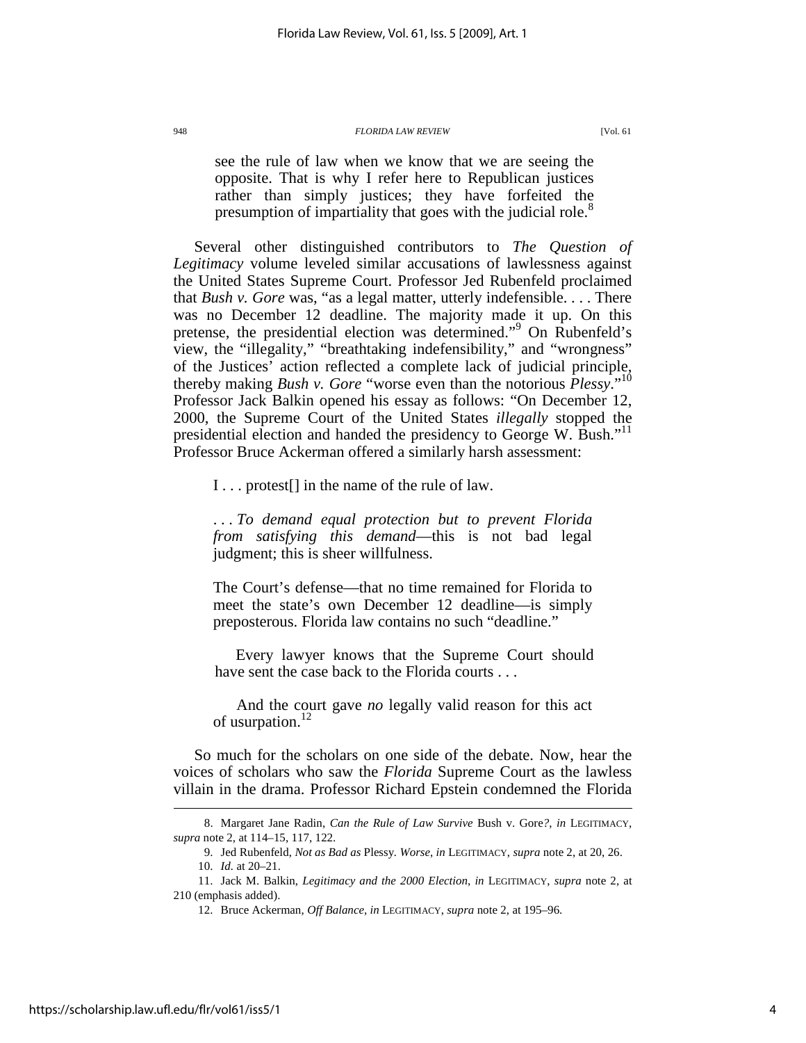see the rule of law when we know that we are seeing the opposite. That is why I refer here to Republican justices rather than simply justices; they have forfeited the presumption of impartiality that goes with the judicial role.<sup>8</sup>

Several other distinguished contributors to *The Question of Legitimacy* volume leveled similar accusations of lawlessness against the United States Supreme Court. Professor Jed Rubenfeld proclaimed that *Bush v. Gore* was, "as a legal matter, utterly indefensible. . . . There was no December 12 deadline. The majority made it up. On this pretense, the presidential election was determined."<sup>9</sup> On Rubenfeld's view, the "illegality," "breathtaking indefensibility," and "wrongness" of the Justices' action reflected a complete lack of judicial principle, thereby making *Bush v. Gore* "worse even than the notorious *Plessy*."<sup>10</sup> Professor Jack Balkin opened his essay as follows: "On December 12, 2000, the Supreme Court of the United States *illegally* stopped the presidential election and handed the presidency to George W. Bush."<sup>11</sup> Professor Bruce Ackerman offered a similarly harsh assessment:

I . . . protest[] in the name of the rule of law.

. . . *To demand equal protection but to prevent Florida from satisfying this demand*—this is not bad legal judgment; this is sheer willfulness.

The Court's defense—that no time remained for Florida to meet the state's own December 12 deadline—is simply preposterous. Florida law contains no such "deadline."

Every lawyer knows that the Supreme Court should have sent the case back to the Florida courts . . .

 And the court gave *no* legally valid reason for this act of usurpation.<sup>12</sup>

So much for the scholars on one side of the debate. Now, hear the voices of scholars who saw the *Florida* Supreme Court as the lawless villain in the drama. Professor Richard Epstein condemned the Florida

 <sup>8.</sup> Margaret Jane Radin, *Can the Rule of Law Survive* Bush v. Gore*?*, *in* LEGITIMACY, *supra* note 2, at 114–15, 117, 122.

 <sup>9.</sup> Jed Rubenfeld, *Not as Bad as* Plessy*. Worse*, *in* LEGITIMACY, *supra* note 2, at 20, 26.

 <sup>10.</sup> *Id.* at 20–21.

 <sup>11.</sup> Jack M. Balkin, *Legitimacy and the 2000 Election*, *in* LEGITIMACY, *supra* note 2, at 210 (emphasis added).

 <sup>12.</sup> Bruce Ackerman, *Off Balance*, *in* LEGITIMACY, *supra* note 2, at 195–96.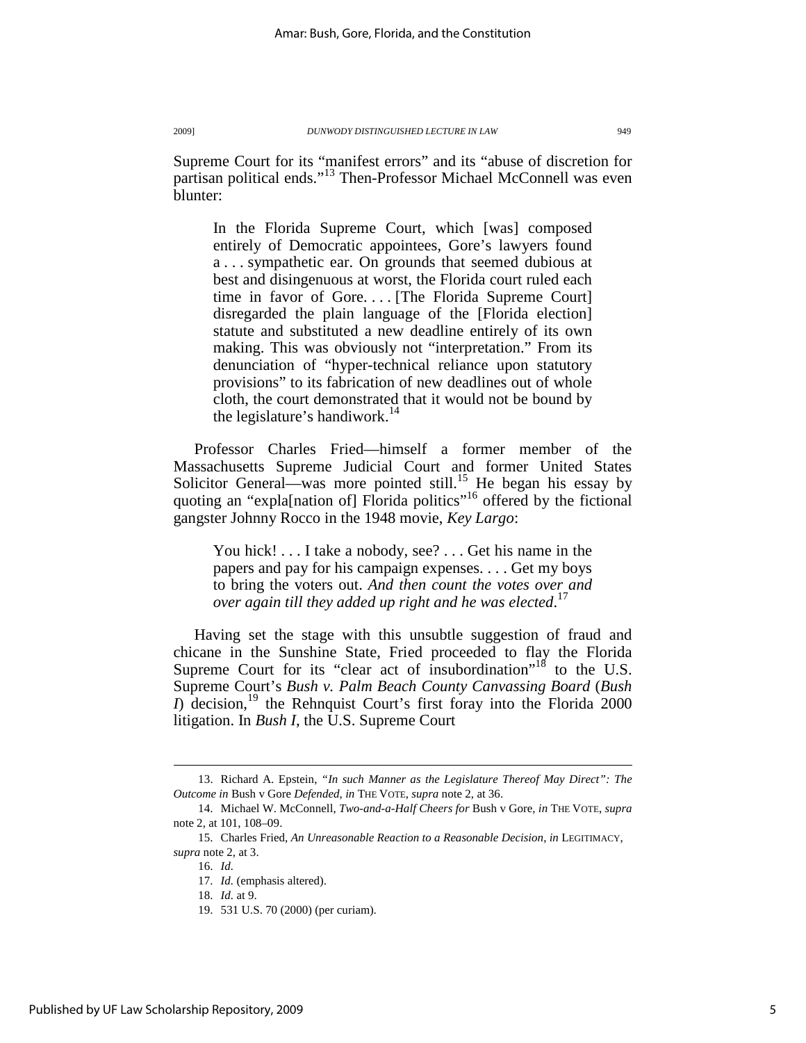Supreme Court for its "manifest errors" and its "abuse of discretion for partisan political ends."<sup>13</sup> Then-Professor Michael McConnell was even blunter:

In the Florida Supreme Court, which [was] composed entirely of Democratic appointees, Gore's lawyers found a . . . sympathetic ear. On grounds that seemed dubious at best and disingenuous at worst, the Florida court ruled each time in favor of Gore. . . . [The Florida Supreme Court] disregarded the plain language of the [Florida election] statute and substituted a new deadline entirely of its own making. This was obviously not "interpretation." From its denunciation of "hyper-technical reliance upon statutory provisions" to its fabrication of new deadlines out of whole cloth, the court demonstrated that it would not be bound by the legislature's handiwork.<sup>14</sup>

Professor Charles Fried—himself a former member of the Massachusetts Supreme Judicial Court and former United States Solicitor General—was more pointed still.<sup>15</sup> He began his essay by quoting an "expla[nation of] Florida politics"<sup>16</sup> offered by the fictional gangster Johnny Rocco in the 1948 movie, *Key Largo*:

You hick! . . . I take a nobody, see? . . . Get his name in the papers and pay for his campaign expenses. . . . Get my boys to bring the voters out. *And then count the votes over and over again till they added up right and he was elected*. 17

Having set the stage with this unsubtle suggestion of fraud and chicane in the Sunshine State, Fried proceeded to flay the Florida Supreme Court for its "clear act of insubordination"<sup>18</sup> to the U.S. Supreme Court's *Bush v. Palm Beach County Canvassing Board* (*Bush I*) decision,<sup>19</sup> the Rehnquist Court's first foray into the Florida  $2000$ litigation. In *Bush I*, the U.S. Supreme Court

16. *Id.*

 <sup>13.</sup> Richard A. Epstein, *"In such Manner as the Legislature Thereof May Direct": The Outcome in* Bush v Gore *Defended*, *in* THE VOTE, *supra* note 2, at 36.

 <sup>14.</sup> Michael W. McConnell, *Two-and-a-Half Cheers for* Bush v Gore, *in* THE VOTE, *supra* note 2, at 101, 108–09.

 <sup>15.</sup> Charles Fried, *An Unreasonable Reaction to a Reasonable Decision*, *in* LEGITIMACY, *supra* note 2, at 3.

 <sup>17.</sup> *Id.* (emphasis altered).

 <sup>18.</sup> *Id.* at 9.

 <sup>19. 531</sup> U.S. 70 (2000) (per curiam).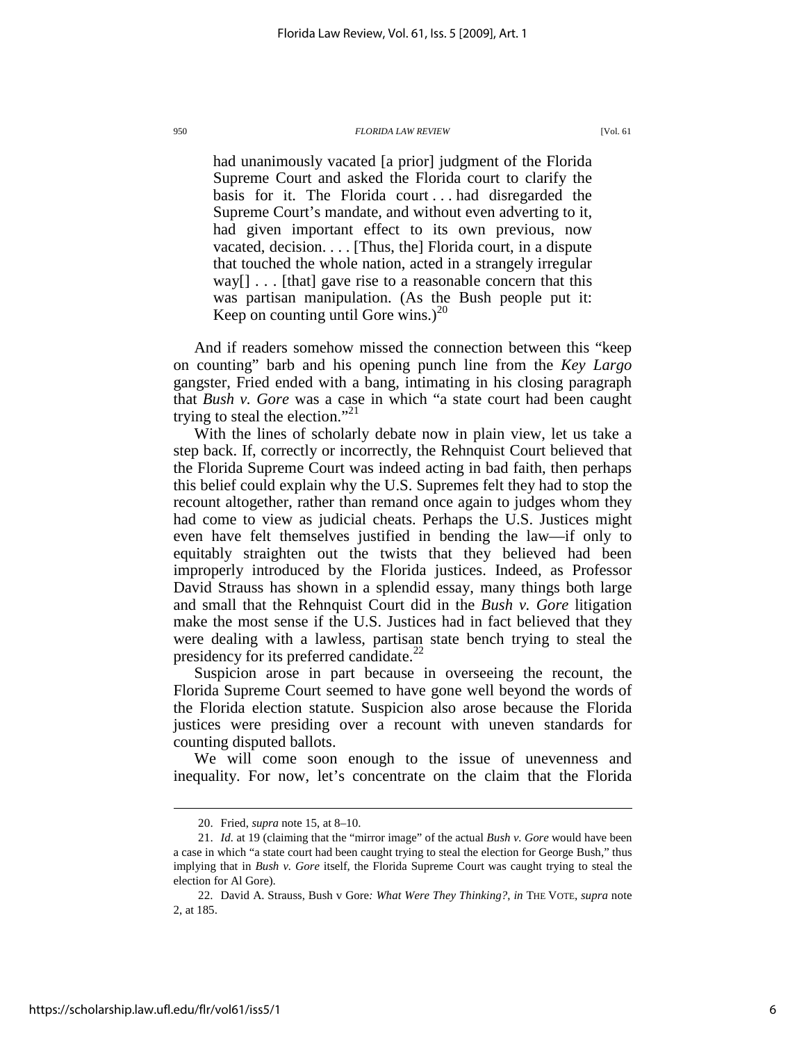had unanimously vacated [a prior] judgment of the Florida Supreme Court and asked the Florida court to clarify the basis for it. The Florida court . . . had disregarded the Supreme Court's mandate, and without even adverting to it, had given important effect to its own previous, now vacated, decision. . . . [Thus, the] Florida court, in a dispute that touched the whole nation, acted in a strangely irregular way[] . . . [that] gave rise to a reasonable concern that this was partisan manipulation. (As the Bush people put it: Keep on counting until Gore wins.)<sup>20</sup>

And if readers somehow missed the connection between this "keep on counting" barb and his opening punch line from the *Key Largo* gangster, Fried ended with a bang, intimating in his closing paragraph that *Bush v. Gore* was a case in which "a state court had been caught trying to steal the election."<sup>21</sup>

With the lines of scholarly debate now in plain view, let us take a step back. If, correctly or incorrectly, the Rehnquist Court believed that the Florida Supreme Court was indeed acting in bad faith, then perhaps this belief could explain why the U.S. Supremes felt they had to stop the recount altogether, rather than remand once again to judges whom they had come to view as judicial cheats. Perhaps the U.S. Justices might even have felt themselves justified in bending the law—if only to equitably straighten out the twists that they believed had been improperly introduced by the Florida justices. Indeed, as Professor David Strauss has shown in a splendid essay, many things both large and small that the Rehnquist Court did in the *Bush v. Gore* litigation make the most sense if the U.S. Justices had in fact believed that they were dealing with a lawless, partisan state bench trying to steal the presidency for its preferred candidate. $^{22}$ 

Suspicion arose in part because in overseeing the recount, the Florida Supreme Court seemed to have gone well beyond the words of the Florida election statute. Suspicion also arose because the Florida justices were presiding over a recount with uneven standards for counting disputed ballots.

We will come soon enough to the issue of unevenness and inequality. For now, let's concentrate on the claim that the Florida

 <sup>20.</sup> Fried, *supra* note 15, at 8–10.

 <sup>21.</sup> *Id.* at 19 (claiming that the "mirror image" of the actual *Bush v. Gore* would have been a case in which "a state court had been caught trying to steal the election for George Bush," thus implying that in *Bush v. Gore* itself, the Florida Supreme Court was caught trying to steal the election for Al Gore).

 <sup>22.</sup> David A. Strauss, Bush v Gore*: What Were They Thinking?*, *in* THE VOTE, *supra* note 2, at 185.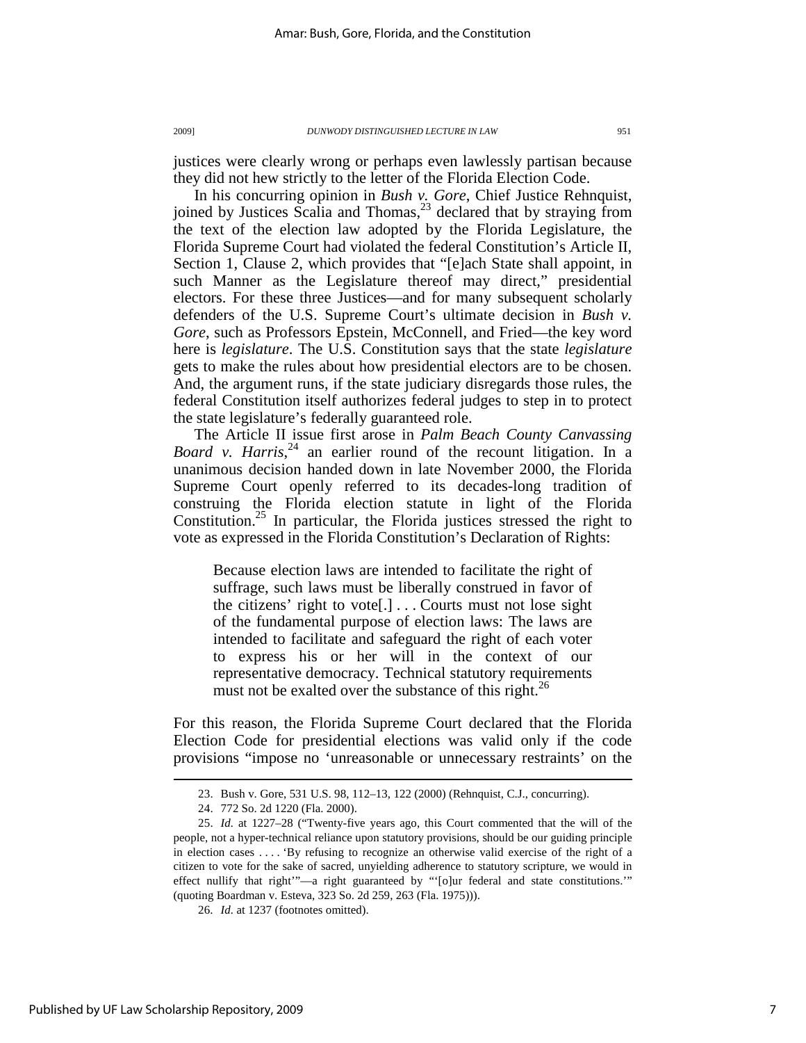justices were clearly wrong or perhaps even lawlessly partisan because they did not hew strictly to the letter of the Florida Election Code.

In his concurring opinion in *Bush v. Gore*, Chief Justice Rehnquist, joined by Justices Scalia and Thomas,<sup>23</sup> declared that by straying from the text of the election law adopted by the Florida Legislature, the Florida Supreme Court had violated the federal Constitution's Article II, Section 1, Clause 2, which provides that "[e]ach State shall appoint, in such Manner as the Legislature thereof may direct," presidential electors. For these three Justices—and for many subsequent scholarly defenders of the U.S. Supreme Court's ultimate decision in *Bush v. Gore*, such as Professors Epstein, McConnell, and Fried—the key word here is *legislature*. The U.S. Constitution says that the state *legislature* gets to make the rules about how presidential electors are to be chosen. And, the argument runs, if the state judiciary disregards those rules, the federal Constitution itself authorizes federal judges to step in to protect the state legislature's federally guaranteed role.

The Article II issue first arose in *Palm Beach County Canvassing*  Board v. Harris,<sup>24</sup> an earlier round of the recount litigation. In a unanimous decision handed down in late November 2000, the Florida Supreme Court openly referred to its decades-long tradition of construing the Florida election statute in light of the Florida Constitution.<sup>25</sup> In particular, the Florida justices stressed the right to vote as expressed in the Florida Constitution's Declaration of Rights:

Because election laws are intended to facilitate the right of suffrage, such laws must be liberally construed in favor of the citizens' right to vote[.] . . . Courts must not lose sight of the fundamental purpose of election laws: The laws are intended to facilitate and safeguard the right of each voter to express his or her will in the context of our representative democracy. Technical statutory requirements must not be exalted over the substance of this right.<sup>26</sup>

For this reason, the Florida Supreme Court declared that the Florida Election Code for presidential elections was valid only if the code provisions "impose no 'unreasonable or unnecessary restraints' on the

 <sup>23.</sup> Bush v. Gore, 531 U.S. 98, 112–13, 122 (2000) (Rehnquist, C.J., concurring).

 <sup>24. 772</sup> So. 2d 1220 (Fla. 2000).

 <sup>25.</sup> *Id.* at 1227–28 ("Twenty-five years ago, this Court commented that the will of the people, not a hyper-technical reliance upon statutory provisions, should be our guiding principle in election cases . . . . 'By refusing to recognize an otherwise valid exercise of the right of a citizen to vote for the sake of sacred, unyielding adherence to statutory scripture, we would in effect nullify that right'"—a right guaranteed by "'[o]ur federal and state constitutions.'" (quoting Boardman v. Esteva, 323 So. 2d 259, 263 (Fla. 1975))).

 <sup>26.</sup> *Id.* at 1237 (footnotes omitted).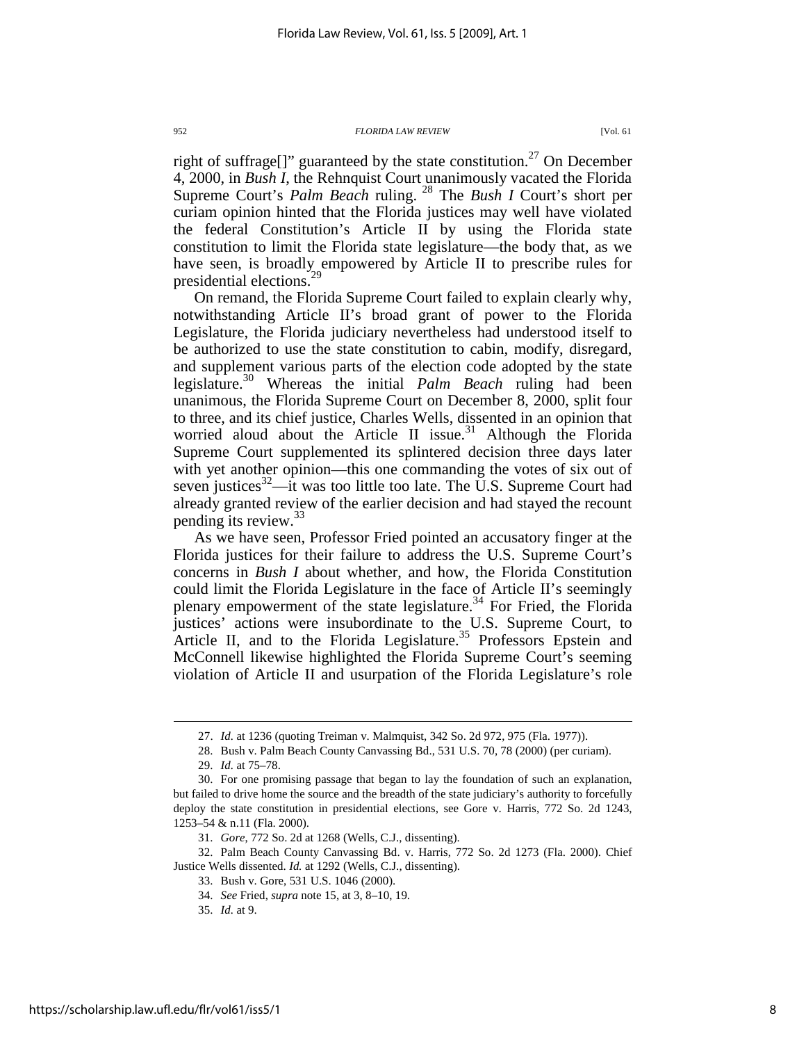right of suffrage<sup>[]"</sup> guaranteed by the state constitution.<sup>27</sup> On December 4, 2000, in *Bush I*, the Rehnquist Court unanimously vacated the Florida Supreme Court's *Palm Beach* ruling.<sup>28</sup> The *Bush I* Court's short per curiam opinion hinted that the Florida justices may well have violated the federal Constitution's Article II by using the Florida state constitution to limit the Florida state legislature—the body that, as we have seen, is broadly empowered by Article II to prescribe rules for presidential elections. $\frac{2}{3}$ 

On remand, the Florida Supreme Court failed to explain clearly why, notwithstanding Article II's broad grant of power to the Florida Legislature, the Florida judiciary nevertheless had understood itself to be authorized to use the state constitution to cabin, modify, disregard, and supplement various parts of the election code adopted by the state legislature.<sup>30</sup> Whereas the initial *Palm Beach* ruling had been unanimous, the Florida Supreme Court on December 8, 2000, split four to three, and its chief justice, Charles Wells, dissented in an opinion that worried aloud about the Article II issue.<sup>31</sup> Although the Florida Supreme Court supplemented its splintered decision three days later with yet another opinion—this one commanding the votes of six out of seven justices $32$ —it was too little too late. The U.S. Supreme Court had already granted review of the earlier decision and had stayed the recount pending its review.  $33$ 

As we have seen, Professor Fried pointed an accusatory finger at the Florida justices for their failure to address the U.S. Supreme Court's concerns in *Bush I* about whether, and how, the Florida Constitution could limit the Florida Legislature in the face of Article II's seemingly plenary empowerment of the state legislature.<sup>34</sup> For Fried, the Florida justices' actions were insubordinate to the U.S. Supreme Court, to Article II, and to the Florida Legislature.<sup>35</sup> Professors Epstein and McConnell likewise highlighted the Florida Supreme Court's seeming violation of Article II and usurpation of the Florida Legislature's role

 $\overline{a}$ 

 32. Palm Beach County Canvassing Bd. v. Harris, 772 So. 2d 1273 (Fla. 2000). Chief Justice Wells dissented. *Id.* at 1292 (Wells, C.J., dissenting).

 <sup>27.</sup> *Id.* at 1236 (quoting Treiman v. Malmquist, 342 So. 2d 972, 975 (Fla. 1977)).

 <sup>28.</sup> Bush v. Palm Beach County Canvassing Bd., 531 U.S. 70, 78 (2000) (per curiam).

 <sup>29.</sup> *Id.* at 75–78.

 <sup>30.</sup> For one promising passage that began to lay the foundation of such an explanation, but failed to drive home the source and the breadth of the state judiciary's authority to forcefully deploy the state constitution in presidential elections, see Gore v. Harris, 772 So. 2d 1243, 1253–54 & n.11 (Fla. 2000).

 <sup>31.</sup> *Gore*, 772 So. 2d at 1268 (Wells, C.J., dissenting).

 <sup>33.</sup> Bush v. Gore, 531 U.S. 1046 (2000).

 <sup>34.</sup> *See* Fried, *supra* note 15, at 3, 8–10, 19.

 <sup>35.</sup> *Id.* at 9.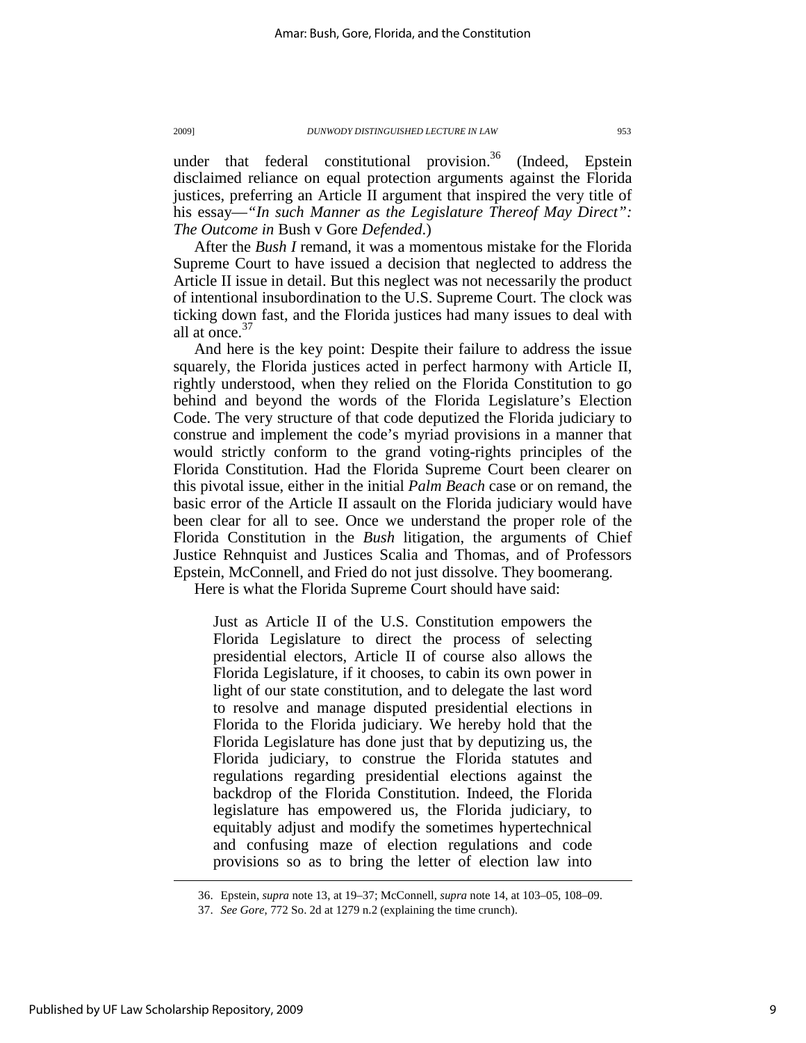under that federal constitutional provision.<sup>36</sup> (Indeed, Epstein disclaimed reliance on equal protection arguments against the Florida justices, preferring an Article II argument that inspired the very title of his essay—*"In such Manner as the Legislature Thereof May Direct": The Outcome in* Bush v Gore *Defended*.)

After the *Bush I* remand, it was a momentous mistake for the Florida Supreme Court to have issued a decision that neglected to address the Article II issue in detail. But this neglect was not necessarily the product of intentional insubordination to the U.S. Supreme Court. The clock was ticking down fast, and the Florida justices had many issues to deal with all at once. $37$ 

And here is the key point: Despite their failure to address the issue squarely, the Florida justices acted in perfect harmony with Article II, rightly understood, when they relied on the Florida Constitution to go behind and beyond the words of the Florida Legislature's Election Code. The very structure of that code deputized the Florida judiciary to construe and implement the code's myriad provisions in a manner that would strictly conform to the grand voting-rights principles of the Florida Constitution. Had the Florida Supreme Court been clearer on this pivotal issue, either in the initial *Palm Beach* case or on remand, the basic error of the Article II assault on the Florida judiciary would have been clear for all to see. Once we understand the proper role of the Florida Constitution in the *Bush* litigation, the arguments of Chief Justice Rehnquist and Justices Scalia and Thomas, and of Professors Epstein, McConnell, and Fried do not just dissolve. They boomerang.

Here is what the Florida Supreme Court should have said:

Just as Article II of the U.S. Constitution empowers the Florida Legislature to direct the process of selecting presidential electors, Article II of course also allows the Florida Legislature, if it chooses, to cabin its own power in light of our state constitution, and to delegate the last word to resolve and manage disputed presidential elections in Florida to the Florida judiciary. We hereby hold that the Florida Legislature has done just that by deputizing us, the Florida judiciary, to construe the Florida statutes and regulations regarding presidential elections against the backdrop of the Florida Constitution. Indeed, the Florida legislature has empowered us, the Florida judiciary, to equitably adjust and modify the sometimes hypertechnical and confusing maze of election regulations and code provisions so as to bring the letter of election law into

 <sup>36.</sup> Epstein, *supra* note 13, at 19–37; McConnell, *supra* note 14, at 103–05, 108–09.

 <sup>37.</sup> *See Gore*, 772 So. 2d at 1279 n.2 (explaining the time crunch).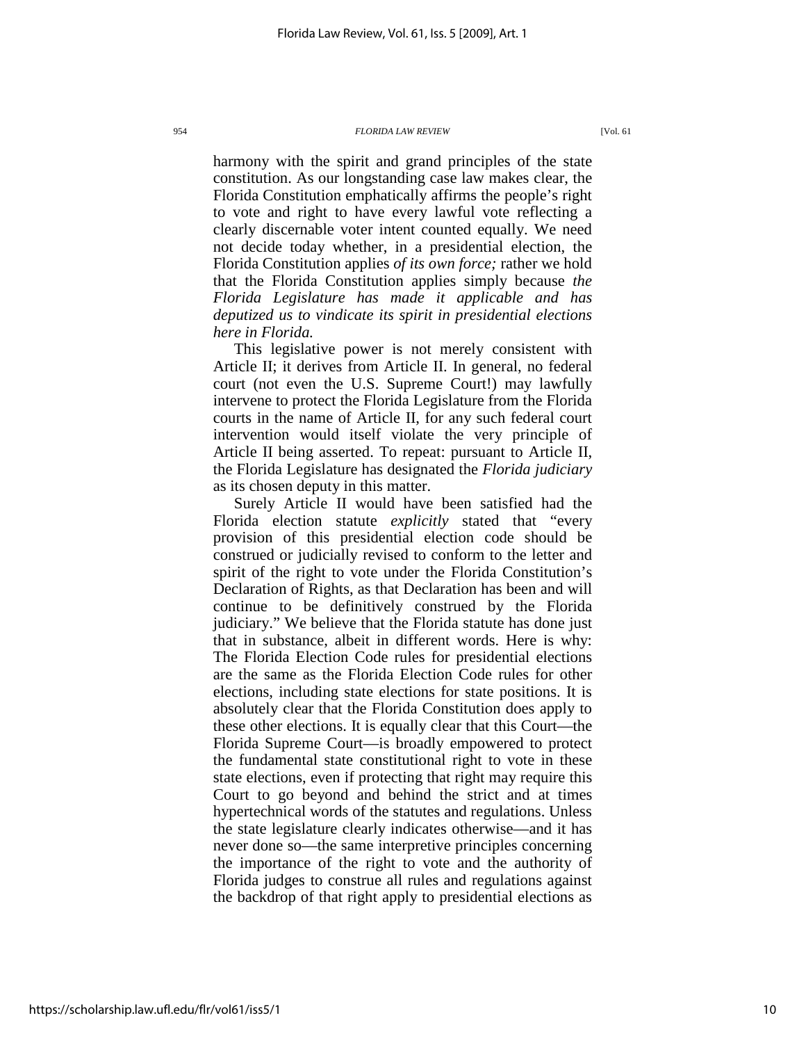harmony with the spirit and grand principles of the state constitution. As our longstanding case law makes clear, the Florida Constitution emphatically affirms the people's right to vote and right to have every lawful vote reflecting a clearly discernable voter intent counted equally. We need not decide today whether, in a presidential election, the Florida Constitution applies *of its own force;* rather we hold that the Florida Constitution applies simply because *the Florida Legislature has made it applicable and has deputized us to vindicate its spirit in presidential elections here in Florida.*

This legislative power is not merely consistent with Article II; it derives from Article II. In general, no federal court (not even the U.S. Supreme Court!) may lawfully intervene to protect the Florida Legislature from the Florida courts in the name of Article II, for any such federal court intervention would itself violate the very principle of Article II being asserted. To repeat: pursuant to Article II, the Florida Legislature has designated the *Florida judiciary* as its chosen deputy in this matter.

Surely Article II would have been satisfied had the Florida election statute *explicitly* stated that "every provision of this presidential election code should be construed or judicially revised to conform to the letter and spirit of the right to vote under the Florida Constitution's Declaration of Rights, as that Declaration has been and will continue to be definitively construed by the Florida judiciary." We believe that the Florida statute has done just that in substance, albeit in different words. Here is why: The Florida Election Code rules for presidential elections are the same as the Florida Election Code rules for other elections, including state elections for state positions. It is absolutely clear that the Florida Constitution does apply to these other elections. It is equally clear that this Court—the Florida Supreme Court—is broadly empowered to protect the fundamental state constitutional right to vote in these state elections, even if protecting that right may require this Court to go beyond and behind the strict and at times hypertechnical words of the statutes and regulations. Unless the state legislature clearly indicates otherwise—and it has never done so—the same interpretive principles concerning the importance of the right to vote and the authority of Florida judges to construe all rules and regulations against the backdrop of that right apply to presidential elections as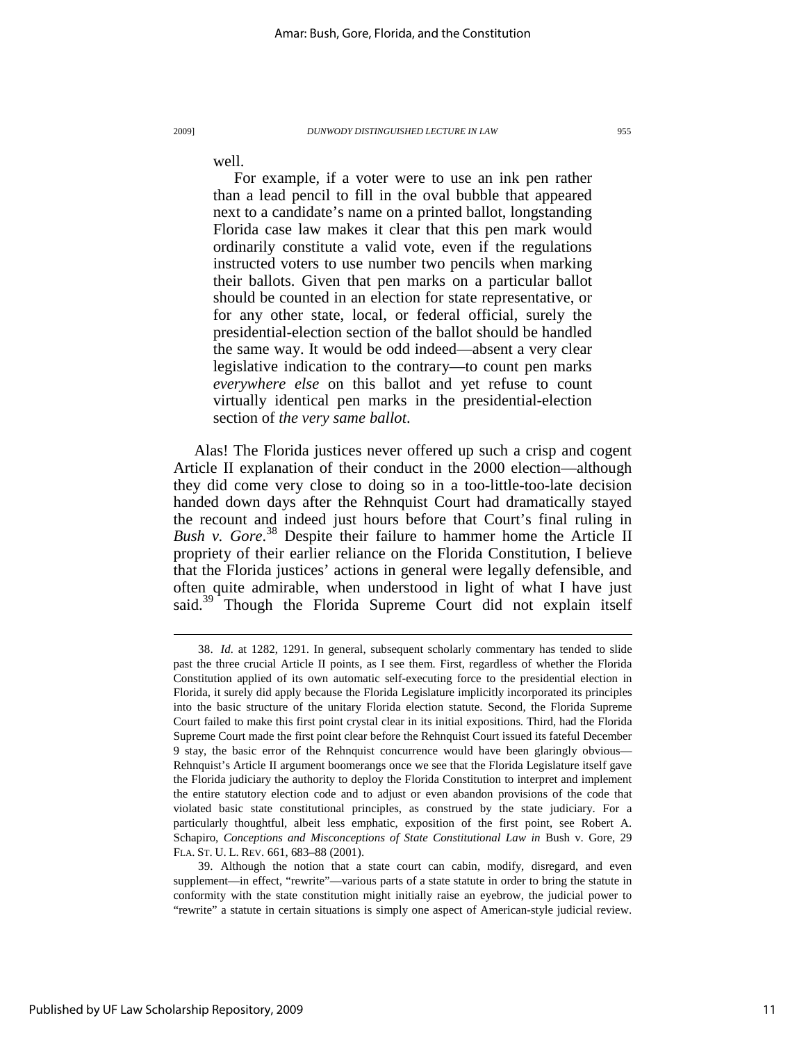2009] *DUNWODY DISTINGUISHED LECTURE IN LAW* 955

well.

For example, if a voter were to use an ink pen rather than a lead pencil to fill in the oval bubble that appeared next to a candidate's name on a printed ballot, longstanding Florida case law makes it clear that this pen mark would ordinarily constitute a valid vote, even if the regulations instructed voters to use number two pencils when marking their ballots. Given that pen marks on a particular ballot should be counted in an election for state representative, or for any other state, local, or federal official, surely the presidential-election section of the ballot should be handled the same way. It would be odd indeed—absent a very clear legislative indication to the contrary—to count pen marks *everywhere else* on this ballot and yet refuse to count virtually identical pen marks in the presidential-election section of *the very same ballot*.

Alas! The Florida justices never offered up such a crisp and cogent Article II explanation of their conduct in the 2000 election—although they did come very close to doing so in a too-little-too-late decision handed down days after the Rehnquist Court had dramatically stayed the recount and indeed just hours before that Court's final ruling in Bush v. Gore.<sup>38</sup> Despite their failure to hammer home the Article II propriety of their earlier reliance on the Florida Constitution, I believe that the Florida justices' actions in general were legally defensible, and often quite admirable, when understood in light of what I have just said.<sup>39</sup> Though the Florida Supreme Court did not explain itself

 <sup>38.</sup> *Id.* at 1282, 1291. In general, subsequent scholarly commentary has tended to slide past the three crucial Article II points, as I see them. First, regardless of whether the Florida Constitution applied of its own automatic self-executing force to the presidential election in Florida, it surely did apply because the Florida Legislature implicitly incorporated its principles into the basic structure of the unitary Florida election statute. Second, the Florida Supreme Court failed to make this first point crystal clear in its initial expositions. Third, had the Florida Supreme Court made the first point clear before the Rehnquist Court issued its fateful December 9 stay, the basic error of the Rehnquist concurrence would have been glaringly obvious— Rehnquist's Article II argument boomerangs once we see that the Florida Legislature itself gave the Florida judiciary the authority to deploy the Florida Constitution to interpret and implement the entire statutory election code and to adjust or even abandon provisions of the code that violated basic state constitutional principles, as construed by the state judiciary. For a particularly thoughtful, albeit less emphatic, exposition of the first point, see Robert A. Schapiro, *Conceptions and Misconceptions of State Constitutional Law in* Bush v. Gore, 29 FLA. ST. U. L. REV. 661, 683–88 (2001).

 <sup>39.</sup> Although the notion that a state court can cabin, modify, disregard, and even supplement—in effect, "rewrite"—various parts of a state statute in order to bring the statute in conformity with the state constitution might initially raise an eyebrow, the judicial power to "rewrite" a statute in certain situations is simply one aspect of American-style judicial review.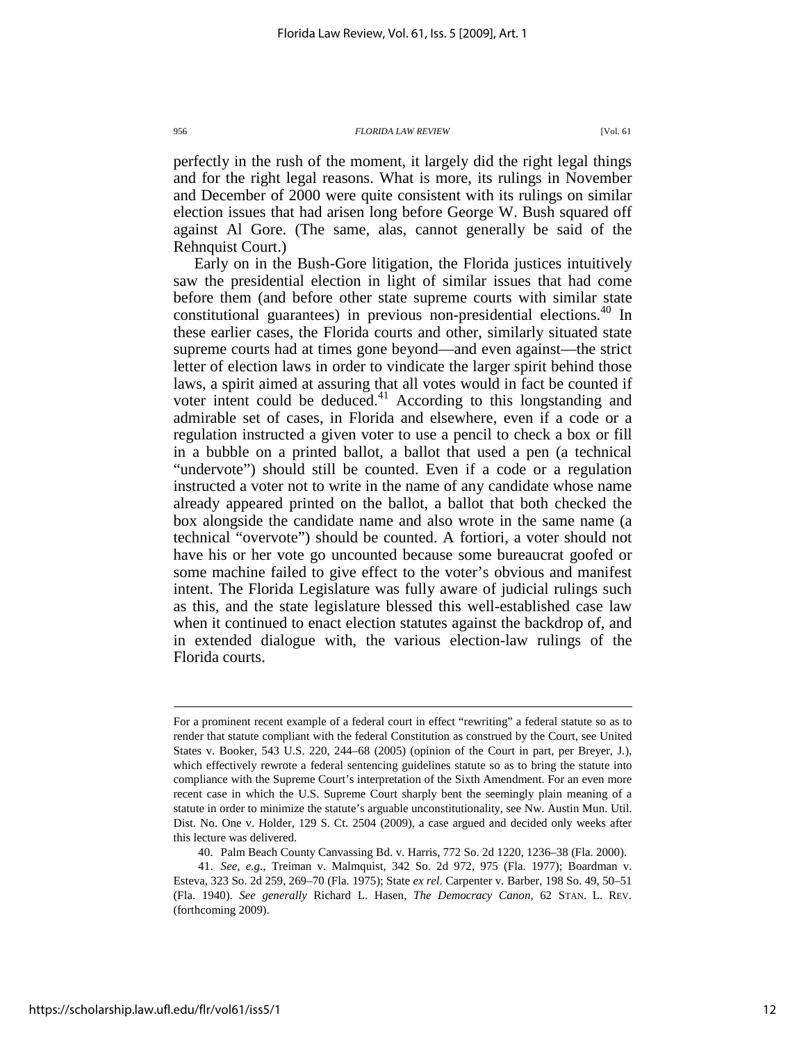perfectly in the rush of the moment, it largely did the right legal things and for the right legal reasons. What is more, its rulings in November and December of 2000 were quite consistent with its rulings on similar election issues that had arisen long before George W. Bush squared off against Al Gore. (The same, alas, cannot generally be said of the Rehnquist Court.)

Early on in the Bush-Gore litigation, the Florida justices intuitively saw the presidential election in light of similar issues that had come before them (and before other state supreme courts with similar state constitutional guarantees) in previous non-presidential elections.<sup>40</sup> In these earlier cases, the Florida courts and other, similarly situated state supreme courts had at times gone beyond—and even against—the strict letter of election laws in order to vindicate the larger spirit behind those laws, a spirit aimed at assuring that all votes would in fact be counted if voter intent could be deduced. $41$  According to this longstanding and admirable set of cases, in Florida and elsewhere, even if a code or a regulation instructed a given voter to use a pencil to check a box or fill in a bubble on a printed ballot, a ballot that used a pen (a technical "undervote") should still be counted. Even if a code or a regulation instructed a voter not to write in the name of any candidate whose name already appeared printed on the ballot, a ballot that both checked the box alongside the candidate name and also wrote in the same name (a technical "overvote") should be counted. A fortiori, a voter should not have his or her vote go uncounted because some bureaucrat goofed or some machine failed to give effect to the voter's obvious and manifest intent. The Florida Legislature was fully aware of judicial rulings such as this, and the state legislature blessed this well-established case law when it continued to enact election statutes against the backdrop of, and in extended dialogue with, the various election-law rulings of the Florida courts.

For a prominent recent example of a federal court in effect "rewriting" a federal statute so as to render that statute compliant with the federal Constitution as construed by the Court, see United States v. Booker, 543 U.S. 220, 244–68 (2005) (opinion of the Court in part, per Breyer, J.), which effectively rewrote a federal sentencing guidelines statute so as to bring the statute into compliance with the Supreme Court's interpretation of the Sixth Amendment. For an even more recent case in which the U.S. Supreme Court sharply bent the seemingly plain meaning of a statute in order to minimize the statute's arguable unconstitutionality, see Nw. Austin Mun. Util. Dist. No. One v. Holder, 129 S. Ct. 2504 (2009), a case argued and decided only weeks after this lecture was delivered.

 <sup>40.</sup> Palm Beach County Canvassing Bd. v. Harris, 772 So. 2d 1220, 1236–38 (Fla. 2000).

 <sup>41.</sup> *See, e.g.*, Treiman v. Malmquist, 342 So. 2d 972, 975 (Fla. 1977); Boardman v. Esteva, 323 So. 2d 259, 269–70 (Fla. 1975); State *ex rel*. Carpenter v. Barber, 198 So. 49, 50–51 (Fla. 1940). *See generally* Richard L. Hasen, *The Democracy Canon*, 62 STAN. L. REV. (forthcoming 2009).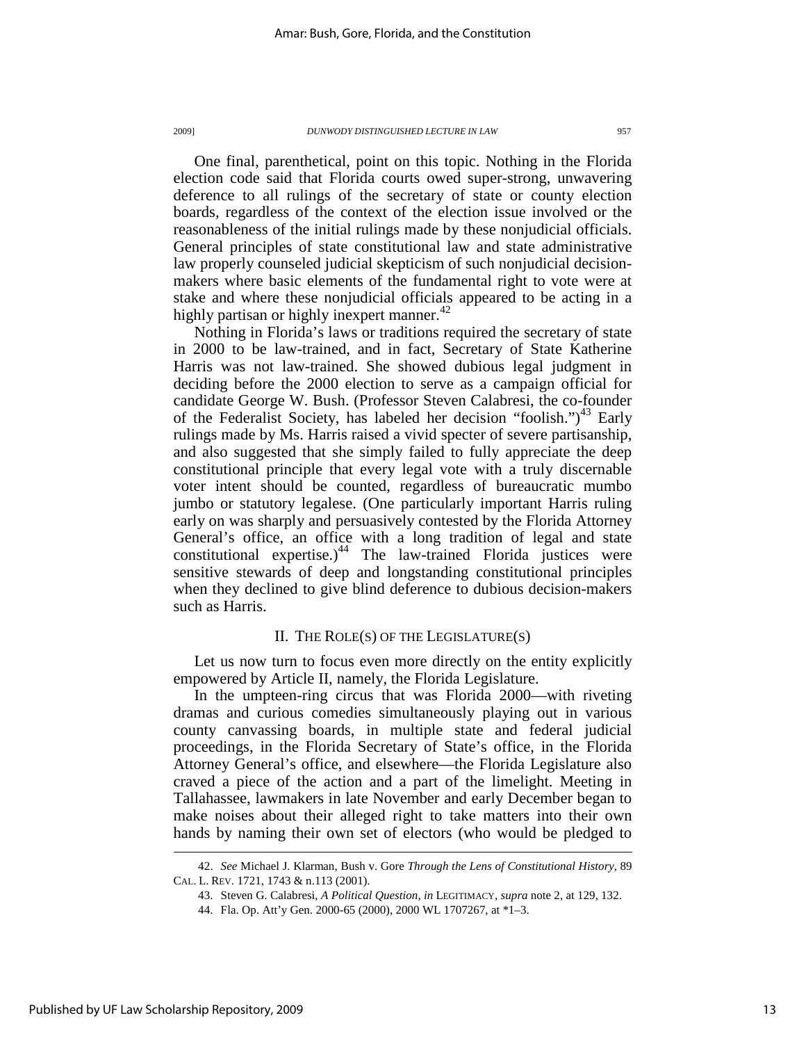#### 2009] *DUNWODY DISTINGUISHED LECTURE IN LAW* 957

One final, parenthetical, point on this topic. Nothing in the Florida election code said that Florida courts owed super-strong, unwavering deference to all rulings of the secretary of state or county election boards, regardless of the context of the election issue involved or the reasonableness of the initial rulings made by these nonjudicial officials. General principles of state constitutional law and state administrative law properly counseled judicial skepticism of such nonjudicial decisionmakers where basic elements of the fundamental right to vote were at stake and where these nonjudicial officials appeared to be acting in a highly partisan or highly inexpert manner. $^{42}$ 

Nothing in Florida's laws or traditions required the secretary of state in 2000 to be law-trained, and in fact, Secretary of State Katherine Harris was not law-trained. She showed dubious legal judgment in deciding before the 2000 election to serve as a campaign official for candidate George W. Bush. (Professor Steven Calabresi, the co-founder of the Federalist Society, has labeled her decision "foolish.")<sup>43</sup> Early rulings made by Ms. Harris raised a vivid specter of severe partisanship, and also suggested that she simply failed to fully appreciate the deep constitutional principle that every legal vote with a truly discernable voter intent should be counted, regardless of bureaucratic mumbo jumbo or statutory legalese. (One particularly important Harris ruling early on was sharply and persuasively contested by the Florida Attorney General's office, an office with a long tradition of legal and state constitutional expertise.)<sup>44</sup> The law-trained Florida justices were sensitive stewards of deep and longstanding constitutional principles when they declined to give blind deference to dubious decision-makers such as Harris.

## II. THE ROLE(S) OF THE LEGISLATURE(S)

Let us now turn to focus even more directly on the entity explicitly empowered by Article II, namely, the Florida Legislature.

In the umpteen-ring circus that was Florida 2000—with riveting dramas and curious comedies simultaneously playing out in various county canvassing boards, in multiple state and federal judicial proceedings, in the Florida Secretary of State's office, in the Florida Attorney General's office, and elsewhere—the Florida Legislature also craved a piece of the action and a part of the limelight. Meeting in Tallahassee, lawmakers in late November and early December began to make noises about their alleged right to take matters into their own hands by naming their own set of electors (who would be pledged to

 <sup>42.</sup> *See* Michael J. Klarman, Bush v. Gore *Through the Lens of Constitutional History*, 89 CAL. L. REV. 1721, 1743 & n.113 (2001).

 <sup>43.</sup> Steven G. Calabresi, *A Political Question*, *in* LEGITIMACY, *supra* note 2, at 129, 132.

 <sup>44.</sup> Fla. Op. Att'y Gen. 2000-65 (2000), 2000 WL 1707267, at \*1–3.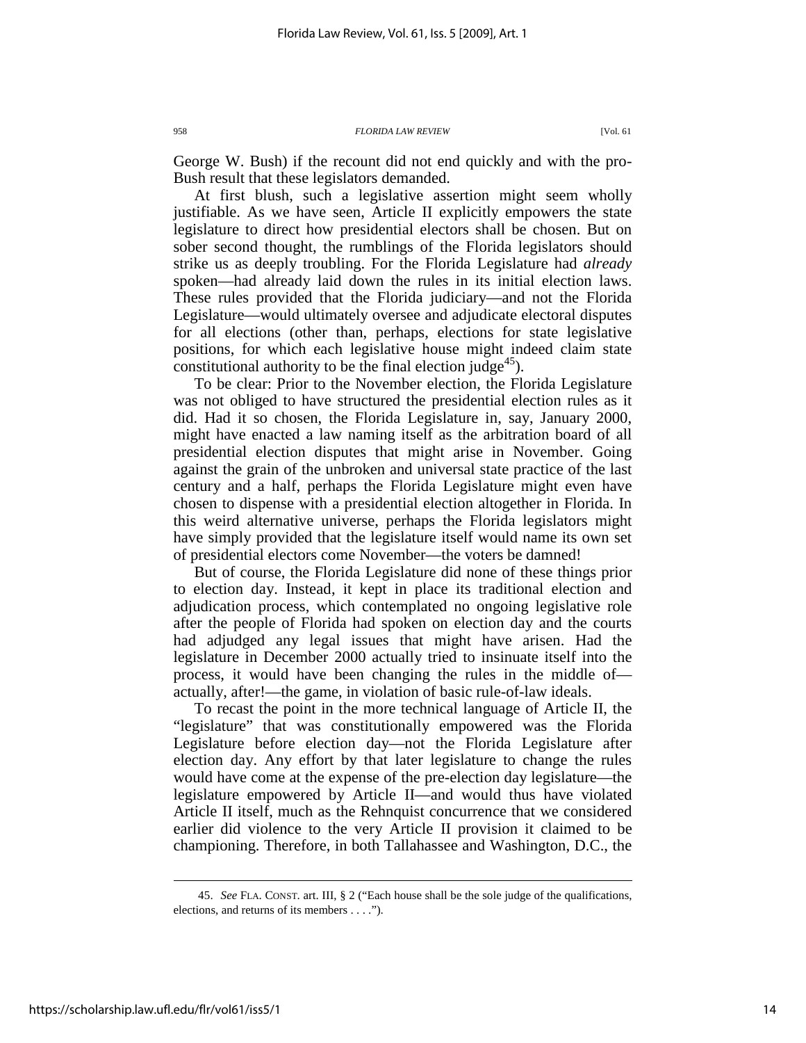George W. Bush) if the recount did not end quickly and with the pro-Bush result that these legislators demanded.

At first blush, such a legislative assertion might seem wholly justifiable. As we have seen, Article II explicitly empowers the state legislature to direct how presidential electors shall be chosen. But on sober second thought, the rumblings of the Florida legislators should strike us as deeply troubling. For the Florida Legislature had *already* spoken—had already laid down the rules in its initial election laws. These rules provided that the Florida judiciary—and not the Florida Legislature—would ultimately oversee and adjudicate electoral disputes for all elections (other than, perhaps, elections for state legislative positions, for which each legislative house might indeed claim state constitutional authority to be the final election judge<sup>45</sup>).

To be clear: Prior to the November election, the Florida Legislature was not obliged to have structured the presidential election rules as it did. Had it so chosen, the Florida Legislature in, say, January 2000, might have enacted a law naming itself as the arbitration board of all presidential election disputes that might arise in November. Going against the grain of the unbroken and universal state practice of the last century and a half, perhaps the Florida Legislature might even have chosen to dispense with a presidential election altogether in Florida. In this weird alternative universe, perhaps the Florida legislators might have simply provided that the legislature itself would name its own set of presidential electors come November—the voters be damned!

But of course, the Florida Legislature did none of these things prior to election day. Instead, it kept in place its traditional election and adjudication process, which contemplated no ongoing legislative role after the people of Florida had spoken on election day and the courts had adjudged any legal issues that might have arisen. Had the legislature in December 2000 actually tried to insinuate itself into the process, it would have been changing the rules in the middle of actually, after!—the game, in violation of basic rule-of-law ideals.

To recast the point in the more technical language of Article II, the "legislature" that was constitutionally empowered was the Florida Legislature before election day—not the Florida Legislature after election day. Any effort by that later legislature to change the rules would have come at the expense of the pre-election day legislature—the legislature empowered by Article II—and would thus have violated Article II itself, much as the Rehnquist concurrence that we considered earlier did violence to the very Article II provision it claimed to be championing. Therefore, in both Tallahassee and Washington, D.C., the

 <sup>45.</sup> *See* FLA. CONST. art. III, § 2 ("Each house shall be the sole judge of the qualifications, elections, and returns of its members . . . .").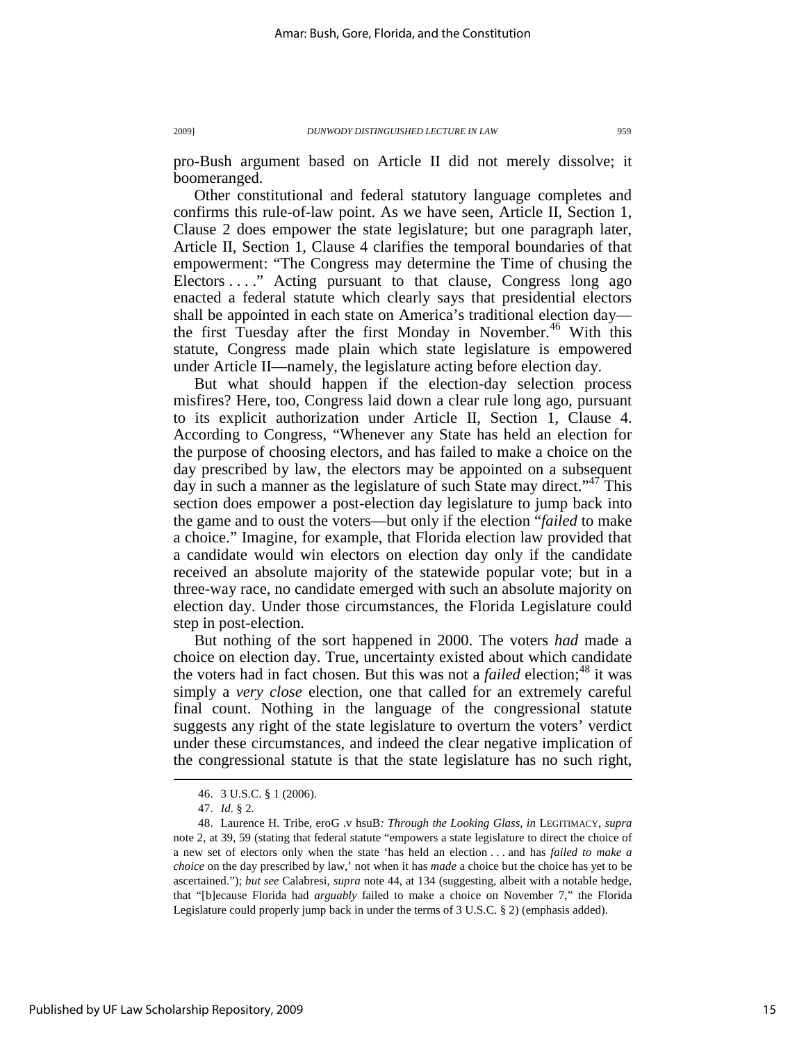pro-Bush argument based on Article II did not merely dissolve; it boomeranged.

Other constitutional and federal statutory language completes and confirms this rule-of-law point. As we have seen, Article II, Section 1, Clause 2 does empower the state legislature; but one paragraph later, Article II, Section 1, Clause 4 clarifies the temporal boundaries of that empowerment: "The Congress may determine the Time of chusing the Electors ...." Acting pursuant to that clause, Congress long ago enacted a federal statute which clearly says that presidential electors shall be appointed in each state on America's traditional election day the first Tuesday after the first Monday in November.<sup>46</sup> With this statute, Congress made plain which state legislature is empowered under Article II—namely, the legislature acting before election day.

But what should happen if the election-day selection process misfires? Here, too, Congress laid down a clear rule long ago, pursuant to its explicit authorization under Article II, Section 1, Clause 4. According to Congress, "Whenever any State has held an election for the purpose of choosing electors, and has failed to make a choice on the day prescribed by law, the electors may be appointed on a subsequent day in such a manner as the legislature of such State may direct."<sup>47</sup> This section does empower a post-election day legislature to jump back into the game and to oust the voters—but only if the election "*failed* to make a choice." Imagine, for example, that Florida election law provided that a candidate would win electors on election day only if the candidate received an absolute majority of the statewide popular vote; but in a three-way race, no candidate emerged with such an absolute majority on election day. Under those circumstances, the Florida Legislature could step in post-election.

But nothing of the sort happened in 2000. The voters *had* made a choice on election day. True, uncertainty existed about which candidate the voters had in fact chosen. But this was not a *failed* election;<sup>48</sup> it was simply a *very close* election, one that called for an extremely careful final count. Nothing in the language of the congressional statute suggests any right of the state legislature to overturn the voters' verdict under these circumstances, and indeed the clear negative implication of the congressional statute is that the state legislature has no such right,

 <sup>46. 3</sup> U.S.C. § 1 (2006).

 <sup>47.</sup> *Id.* § 2.

 <sup>48.</sup> Laurence H. Tribe, eroG .v hsuB*: Through the Looking Glass*, *in* LEGITIMACY, *supra* note 2, at 39, 59 (stating that federal statute "empowers a state legislature to direct the choice of a new set of electors only when the state 'has held an election . . . and has *failed to make a choice* on the day prescribed by law,' not when it has *made* a choice but the choice has yet to be ascertained."); *but see* Calabresi, *supra* note 44, at 134 (suggesting, albeit with a notable hedge, that "[b]ecause Florida had *arguably* failed to make a choice on November 7," the Florida Legislature could properly jump back in under the terms of 3 U.S.C. § 2) (emphasis added).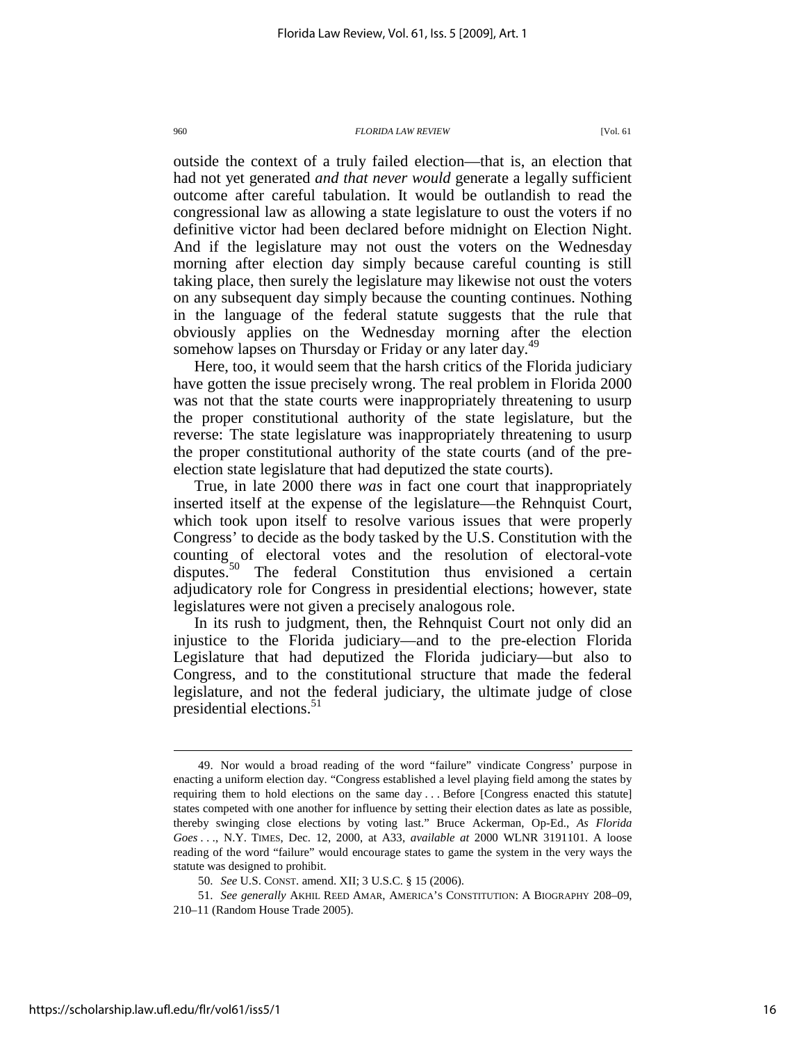outside the context of a truly failed election—that is, an election that had not yet generated *and that never would* generate a legally sufficient outcome after careful tabulation. It would be outlandish to read the congressional law as allowing a state legislature to oust the voters if no definitive victor had been declared before midnight on Election Night. And if the legislature may not oust the voters on the Wednesday morning after election day simply because careful counting is still taking place, then surely the legislature may likewise not oust the voters on any subsequent day simply because the counting continues. Nothing in the language of the federal statute suggests that the rule that obviously applies on the Wednesday morning after the election somehow lapses on Thursday or Friday or any later day.<sup>49</sup>

Here, too, it would seem that the harsh critics of the Florida judiciary have gotten the issue precisely wrong. The real problem in Florida 2000 was not that the state courts were inappropriately threatening to usurp the proper constitutional authority of the state legislature, but the reverse: The state legislature was inappropriately threatening to usurp the proper constitutional authority of the state courts (and of the preelection state legislature that had deputized the state courts).

True, in late 2000 there *was* in fact one court that inappropriately inserted itself at the expense of the legislature—the Rehnquist Court, which took upon itself to resolve various issues that were properly Congress' to decide as the body tasked by the U.S. Constitution with the counting of electoral votes and the resolution of electoral-vote disputes.<sup>50</sup> The federal Constitution thus envisioned a certain adjudicatory role for Congress in presidential elections; however, state legislatures were not given a precisely analogous role.

In its rush to judgment, then, the Rehnquist Court not only did an injustice to the Florida judiciary—and to the pre-election Florida Legislature that had deputized the Florida judiciary—but also to Congress, and to the constitutional structure that made the federal legislature, and not the federal judiciary, the ultimate judge of close presidential elections.<sup>51</sup>

 <sup>49.</sup> Nor would a broad reading of the word "failure" vindicate Congress' purpose in enacting a uniform election day. "Congress established a level playing field among the states by requiring them to hold elections on the same day . . . Before [Congress enacted this statute] states competed with one another for influence by setting their election dates as late as possible, thereby swinging close elections by voting last." Bruce Ackerman, Op-Ed., *As Florida Goes . . .*, N.Y. TIMES, Dec. 12, 2000, at A33, *available at* 2000 WLNR 3191101. A loose reading of the word "failure" would encourage states to game the system in the very ways the statute was designed to prohibit.

 <sup>50.</sup> *See* U.S. CONST. amend. XII; 3 U.S.C. § 15 (2006).

 <sup>51.</sup> *See generally* AKHIL REED AMAR, AMERICA'S CONSTITUTION: A BIOGRAPHY 208–09, 210–11 (Random House Trade 2005).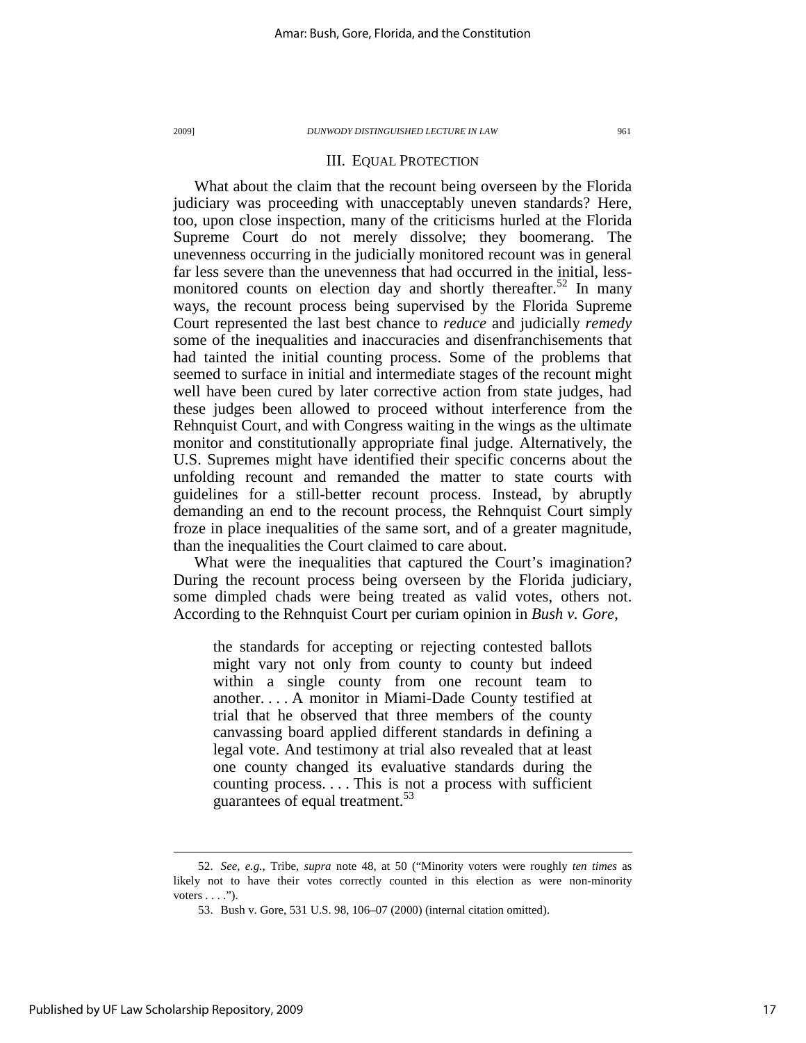### III. EQUAL PROTECTION

What about the claim that the recount being overseen by the Florida judiciary was proceeding with unacceptably uneven standards? Here, too, upon close inspection, many of the criticisms hurled at the Florida Supreme Court do not merely dissolve; they boomerang. The unevenness occurring in the judicially monitored recount was in general far less severe than the unevenness that had occurred in the initial, lessmonitored counts on election day and shortly thereafter.<sup>52</sup> In many ways, the recount process being supervised by the Florida Supreme Court represented the last best chance to *reduce* and judicially *remedy* some of the inequalities and inaccuracies and disenfranchisements that had tainted the initial counting process. Some of the problems that seemed to surface in initial and intermediate stages of the recount might well have been cured by later corrective action from state judges, had these judges been allowed to proceed without interference from the Rehnquist Court, and with Congress waiting in the wings as the ultimate monitor and constitutionally appropriate final judge. Alternatively, the U.S. Supremes might have identified their specific concerns about the unfolding recount and remanded the matter to state courts with guidelines for a still-better recount process. Instead, by abruptly demanding an end to the recount process, the Rehnquist Court simply froze in place inequalities of the same sort, and of a greater magnitude, than the inequalities the Court claimed to care about.

What were the inequalities that captured the Court's imagination? During the recount process being overseen by the Florida judiciary, some dimpled chads were being treated as valid votes, others not. According to the Rehnquist Court per curiam opinion in *Bush v. Gore*,

the standards for accepting or rejecting contested ballots might vary not only from county to county but indeed within a single county from one recount team to another. . . . A monitor in Miami-Dade County testified at trial that he observed that three members of the county canvassing board applied different standards in defining a legal vote. And testimony at trial also revealed that at least one county changed its evaluative standards during the counting process. . . . This is not a process with sufficient guarantees of equal treatment.<sup>53</sup>

 <sup>52.</sup> *See, e.g.*, Tribe, *supra* note 48, at 50 ("Minority voters were roughly *ten times* as likely not to have their votes correctly counted in this election as were non-minority voters  $\dots$ .").

 <sup>53.</sup> Bush v. Gore, 531 U.S. 98, 106–07 (2000) (internal citation omitted).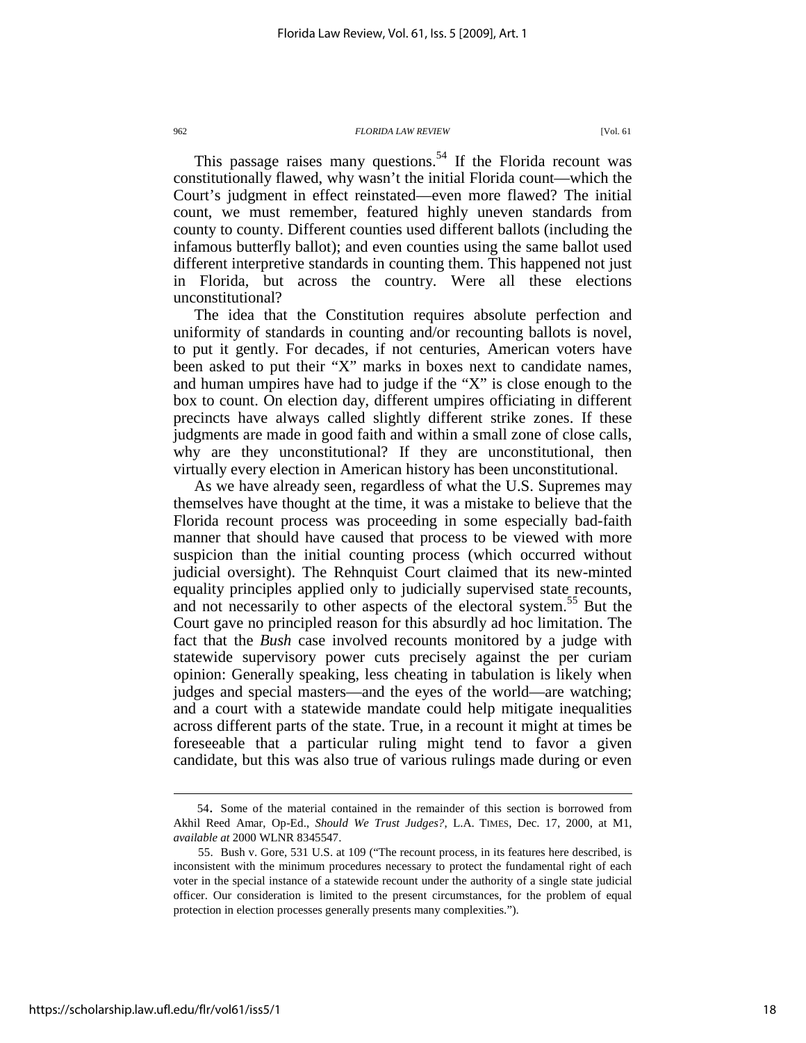This passage raises many questions.<sup>54</sup> If the Florida recount was constitutionally flawed, why wasn't the initial Florida count—which the Court's judgment in effect reinstated—even more flawed? The initial count, we must remember, featured highly uneven standards from county to county. Different counties used different ballots (including the infamous butterfly ballot); and even counties using the same ballot used different interpretive standards in counting them. This happened not just in Florida, but across the country. Were all these elections unconstitutional?

The idea that the Constitution requires absolute perfection and uniformity of standards in counting and/or recounting ballots is novel, to put it gently. For decades, if not centuries, American voters have been asked to put their "X" marks in boxes next to candidate names, and human umpires have had to judge if the "X" is close enough to the box to count. On election day, different umpires officiating in different precincts have always called slightly different strike zones. If these judgments are made in good faith and within a small zone of close calls, why are they unconstitutional? If they are unconstitutional, then virtually every election in American history has been unconstitutional.

As we have already seen, regardless of what the U.S. Supremes may themselves have thought at the time, it was a mistake to believe that the Florida recount process was proceeding in some especially bad-faith manner that should have caused that process to be viewed with more suspicion than the initial counting process (which occurred without judicial oversight). The Rehnquist Court claimed that its new-minted equality principles applied only to judicially supervised state recounts, and not necessarily to other aspects of the electoral system.<sup>55</sup> But the Court gave no principled reason for this absurdly ad hoc limitation. The fact that the *Bush* case involved recounts monitored by a judge with statewide supervisory power cuts precisely against the per curiam opinion: Generally speaking, less cheating in tabulation is likely when judges and special masters—and the eyes of the world—are watching; and a court with a statewide mandate could help mitigate inequalities across different parts of the state. True, in a recount it might at times be foreseeable that a particular ruling might tend to favor a given candidate, but this was also true of various rulings made during or even

<sup>54</sup>. Some of the material contained in the remainder of this section is borrowed from Akhil Reed Amar, Op-Ed., *Should We Trust Judges?*, L.A. TIMES, Dec. 17, 2000, at M1, *available at* 2000 WLNR 8345547.

 <sup>55.</sup> Bush v. Gore, 531 U.S. at 109 ("The recount process, in its features here described, is inconsistent with the minimum procedures necessary to protect the fundamental right of each voter in the special instance of a statewide recount under the authority of a single state judicial officer. Our consideration is limited to the present circumstances, for the problem of equal protection in election processes generally presents many complexities.").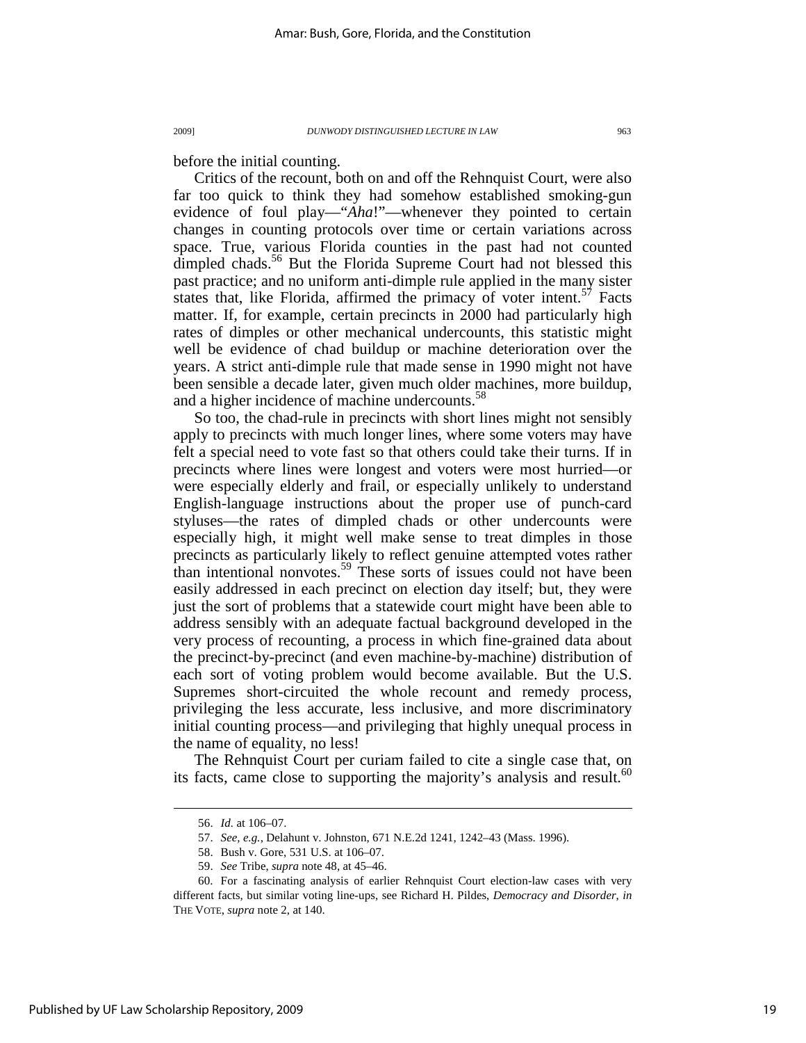before the initial counting.

Critics of the recount, both on and off the Rehnquist Court, were also far too quick to think they had somehow established smoking-gun evidence of foul play—"*Aha*!"—whenever they pointed to certain changes in counting protocols over time or certain variations across space. True, various Florida counties in the past had not counted dimpled chads.<sup>56</sup> But the Florida Supreme Court had not blessed this past practice; and no uniform anti-dimple rule applied in the many sister states that, like Florida, affirmed the primacy of voter intent.<sup>57</sup> Facts matter. If, for example, certain precincts in 2000 had particularly high rates of dimples or other mechanical undercounts, this statistic might well be evidence of chad buildup or machine deterioration over the years. A strict anti-dimple rule that made sense in 1990 might not have been sensible a decade later, given much older machines, more buildup, and a higher incidence of machine undercounts.<sup>58</sup>

So too, the chad-rule in precincts with short lines might not sensibly apply to precincts with much longer lines, where some voters may have felt a special need to vote fast so that others could take their turns. If in precincts where lines were longest and voters were most hurried—or were especially elderly and frail, or especially unlikely to understand English-language instructions about the proper use of punch-card styluses—the rates of dimpled chads or other undercounts were especially high, it might well make sense to treat dimples in those precincts as particularly likely to reflect genuine attempted votes rather than intentional nonvotes.<sup>59</sup> These sorts of issues could not have been easily addressed in each precinct on election day itself; but, they were just the sort of problems that a statewide court might have been able to address sensibly with an adequate factual background developed in the very process of recounting, a process in which fine-grained data about the precinct-by-precinct (and even machine-by-machine) distribution of each sort of voting problem would become available. But the U.S. Supremes short-circuited the whole recount and remedy process, privileging the less accurate, less inclusive, and more discriminatory initial counting process—and privileging that highly unequal process in the name of equality, no less!

The Rehnquist Court per curiam failed to cite a single case that, on its facts, came close to supporting the majority's analysis and result.<sup>60</sup>

 <sup>56.</sup> *Id.* at 106–07.

 <sup>57.</sup> *See, e.g.*, Delahunt v. Johnston, 671 N.E.2d 1241, 1242–43 (Mass. 1996).

 <sup>58.</sup> Bush v. Gore, 531 U.S. at 106–07.

 <sup>59.</sup> *See* Tribe, *supra* note 48, at 45–46.

 <sup>60.</sup> For a fascinating analysis of earlier Rehnquist Court election-law cases with very different facts, but similar voting line-ups, see Richard H. Pildes, *Democracy and Disorder*, *in* THE VOTE, *supra* note 2, at 140.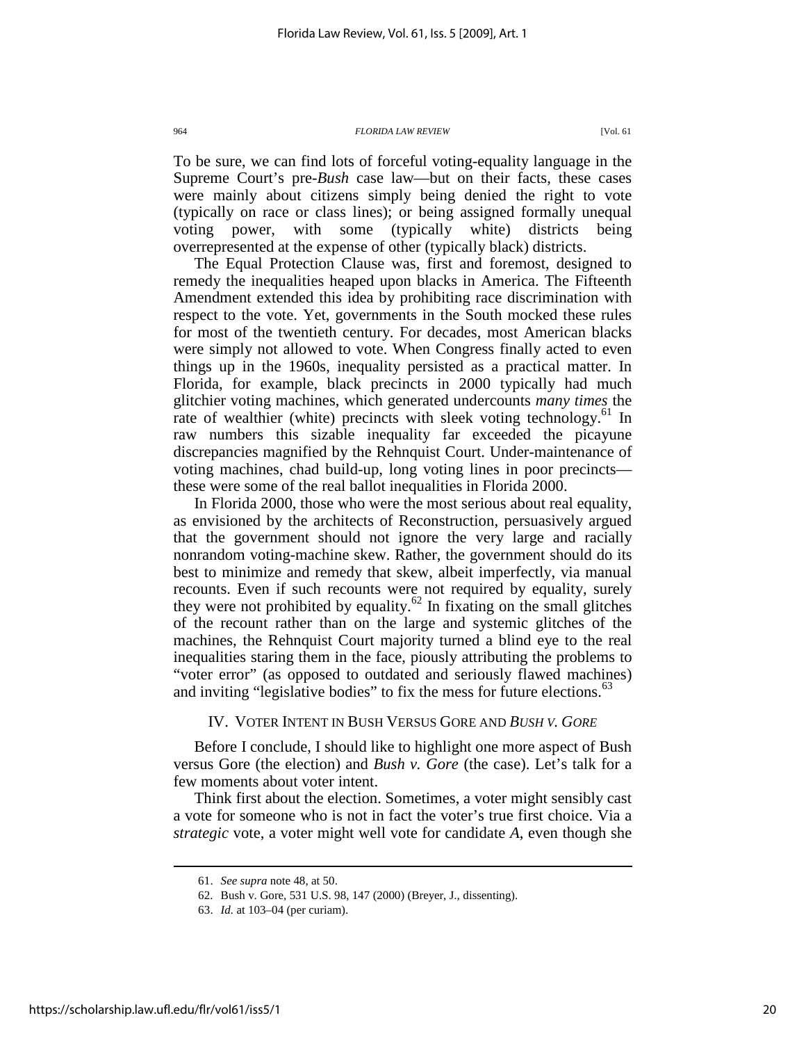To be sure, we can find lots of forceful voting-equality language in the Supreme Court's pre-*Bush* case law—but on their facts, these cases were mainly about citizens simply being denied the right to vote (typically on race or class lines); or being assigned formally unequal voting power, with some (typically white) districts being overrepresented at the expense of other (typically black) districts.

The Equal Protection Clause was, first and foremost, designed to remedy the inequalities heaped upon blacks in America. The Fifteenth Amendment extended this idea by prohibiting race discrimination with respect to the vote. Yet, governments in the South mocked these rules for most of the twentieth century. For decades, most American blacks were simply not allowed to vote. When Congress finally acted to even things up in the 1960s, inequality persisted as a practical matter. In Florida, for example, black precincts in 2000 typically had much glitchier voting machines, which generated undercounts *many times* the rate of wealthier (white) precincts with sleek voting technology. $61$  In raw numbers this sizable inequality far exceeded the picayune discrepancies magnified by the Rehnquist Court. Under-maintenance of voting machines, chad build-up, long voting lines in poor precincts these were some of the real ballot inequalities in Florida 2000.

In Florida 2000, those who were the most serious about real equality, as envisioned by the architects of Reconstruction, persuasively argued that the government should not ignore the very large and racially nonrandom voting-machine skew. Rather, the government should do its best to minimize and remedy that skew, albeit imperfectly, via manual recounts. Even if such recounts were not required by equality, surely they were not prohibited by equality.<sup>62</sup> In fixating on the small glitches of the recount rather than on the large and systemic glitches of the machines, the Rehnquist Court majority turned a blind eye to the real inequalities staring them in the face, piously attributing the problems to "voter error" (as opposed to outdated and seriously flawed machines) and inviting "legislative bodies" to fix the mess for future elections.<sup>63</sup>

IV. VOTER INTENT IN BUSH VERSUS GORE AND *BUSH V. GORE*

Before I conclude, I should like to highlight one more aspect of Bush versus Gore (the election) and *Bush v. Gore* (the case). Let's talk for a few moments about voter intent.

Think first about the election. Sometimes, a voter might sensibly cast a vote for someone who is not in fact the voter's true first choice. Via a *strategic* vote, a voter might well vote for candidate *A*, even though she

 <sup>61.</sup> *See supra* note 48, at 50.

 <sup>62.</sup> Bush v. Gore, 531 U.S. 98, 147 (2000) (Breyer, J., dissenting).

 <sup>63.</sup> *Id.* at 103–04 (per curiam).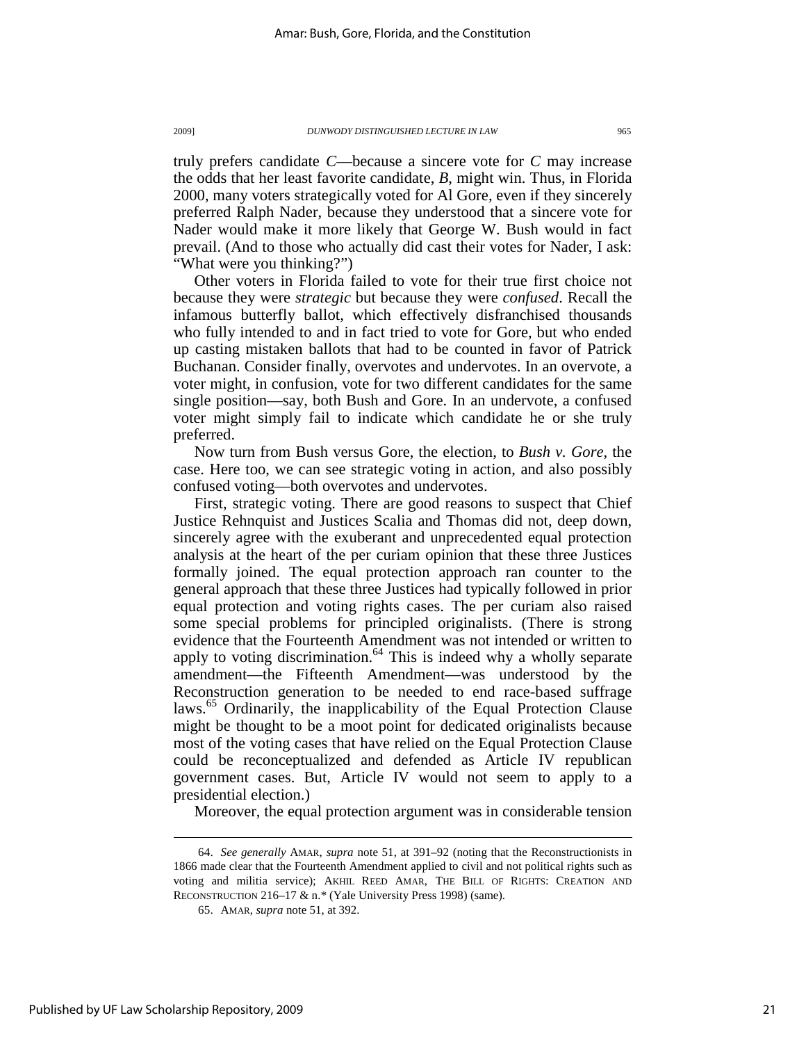truly prefers candidate *C*—because a sincere vote for *C* may increase the odds that her least favorite candidate, *B*, might win. Thus, in Florida 2000, many voters strategically voted for Al Gore, even if they sincerely preferred Ralph Nader, because they understood that a sincere vote for Nader would make it more likely that George W. Bush would in fact prevail. (And to those who actually did cast their votes for Nader, I ask: "What were you thinking?")

Other voters in Florida failed to vote for their true first choice not because they were *strategic* but because they were *confused*. Recall the infamous butterfly ballot, which effectively disfranchised thousands who fully intended to and in fact tried to vote for Gore, but who ended up casting mistaken ballots that had to be counted in favor of Patrick Buchanan. Consider finally, overvotes and undervotes. In an overvote, a voter might, in confusion, vote for two different candidates for the same single position—say, both Bush and Gore. In an undervote, a confused voter might simply fail to indicate which candidate he or she truly preferred.

Now turn from Bush versus Gore, the election, to *Bush v. Gore*, the case. Here too, we can see strategic voting in action, and also possibly confused voting—both overvotes and undervotes.

First, strategic voting. There are good reasons to suspect that Chief Justice Rehnquist and Justices Scalia and Thomas did not, deep down, sincerely agree with the exuberant and unprecedented equal protection analysis at the heart of the per curiam opinion that these three Justices formally joined. The equal protection approach ran counter to the general approach that these three Justices had typically followed in prior equal protection and voting rights cases. The per curiam also raised some special problems for principled originalists. (There is strong evidence that the Fourteenth Amendment was not intended or written to apply to voting discrimination. $^{64}$  This is indeed why a wholly separate amendment—the Fifteenth Amendment—was understood by the Reconstruction generation to be needed to end race-based suffrage laws.<sup>65</sup> Ordinarily, the inapplicability of the Equal Protection Clause might be thought to be a moot point for dedicated originalists because most of the voting cases that have relied on the Equal Protection Clause could be reconceptualized and defended as Article IV republican government cases. But, Article IV would not seem to apply to a presidential election.)

Moreover, the equal protection argument was in considerable tension

 <sup>64.</sup> *See generally* AMAR, *supra* note 51, at 391–92 (noting that the Reconstructionists in 1866 made clear that the Fourteenth Amendment applied to civil and not political rights such as voting and militia service); AKHIL REED AMAR, THE BILL OF RIGHTS: CREATION AND RECONSTRUCTION 216–17 & n.\* (Yale University Press 1998) (same).

 <sup>65.</sup> AMAR, *supra* note 51, at 392.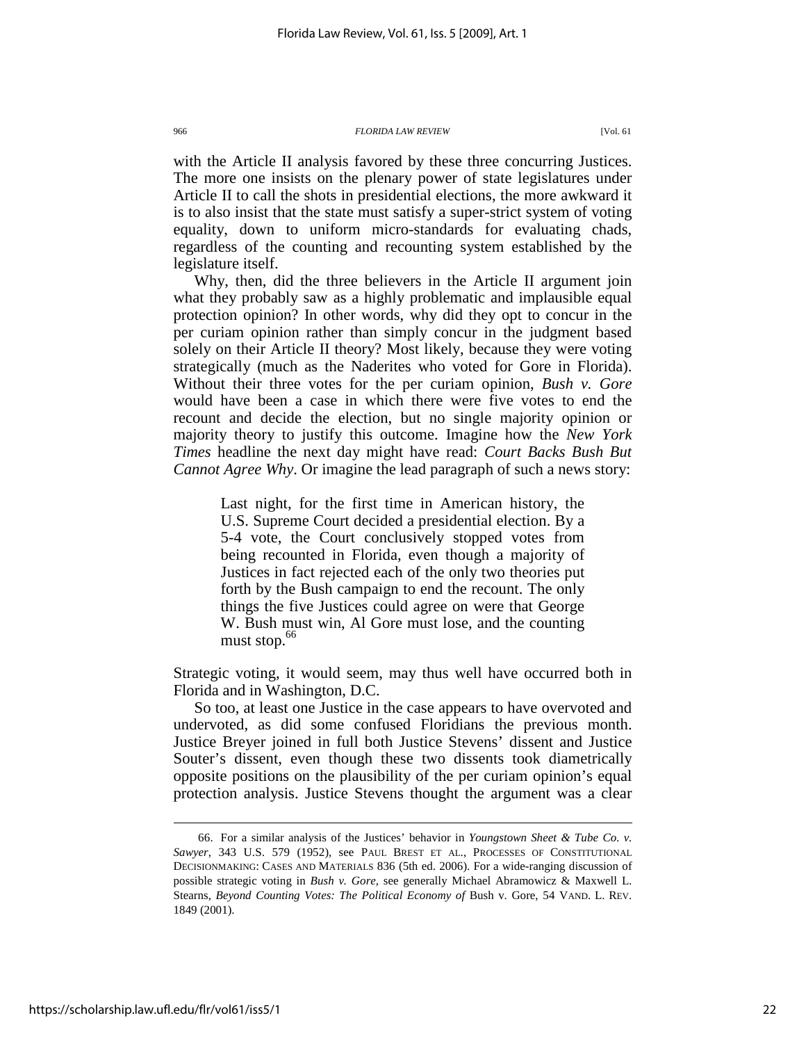with the Article II analysis favored by these three concurring Justices. The more one insists on the plenary power of state legislatures under Article II to call the shots in presidential elections, the more awkward it is to also insist that the state must satisfy a super-strict system of voting equality, down to uniform micro-standards for evaluating chads, regardless of the counting and recounting system established by the legislature itself.

Why, then, did the three believers in the Article II argument join what they probably saw as a highly problematic and implausible equal protection opinion? In other words, why did they opt to concur in the per curiam opinion rather than simply concur in the judgment based solely on their Article II theory? Most likely, because they were voting strategically (much as the Naderites who voted for Gore in Florida). Without their three votes for the per curiam opinion, *Bush v. Gore* would have been a case in which there were five votes to end the recount and decide the election, but no single majority opinion or majority theory to justify this outcome. Imagine how the *New York Times* headline the next day might have read: *Court Backs Bush But Cannot Agree Why*. Or imagine the lead paragraph of such a news story:

> Last night, for the first time in American history, the U.S. Supreme Court decided a presidential election. By a 5-4 vote, the Court conclusively stopped votes from being recounted in Florida, even though a majority of Justices in fact rejected each of the only two theories put forth by the Bush campaign to end the recount. The only things the five Justices could agree on were that George W. Bush must win, Al Gore must lose, and the counting must stop.<sup>66</sup>

Strategic voting, it would seem, may thus well have occurred both in Florida and in Washington, D.C.

So too, at least one Justice in the case appears to have overvoted and undervoted, as did some confused Floridians the previous month. Justice Breyer joined in full both Justice Stevens' dissent and Justice Souter's dissent, even though these two dissents took diametrically opposite positions on the plausibility of the per curiam opinion's equal protection analysis. Justice Stevens thought the argument was a clear

 <sup>66.</sup> For a similar analysis of the Justices' behavior in *Youngstown Sheet & Tube Co. v. Sawyer*, 343 U.S. 579 (1952), see PAUL BREST ET AL., PROCESSES OF CONSTITUTIONAL DECISIONMAKING: CASES AND MATERIALS 836 (5th ed. 2006). For a wide-ranging discussion of possible strategic voting in *Bush v. Gore*, see generally Michael Abramowicz & Maxwell L. Stearns, *Beyond Counting Votes: The Political Economy of Bush v. Gore, 54 VAND. L. REV.* 1849 (2001).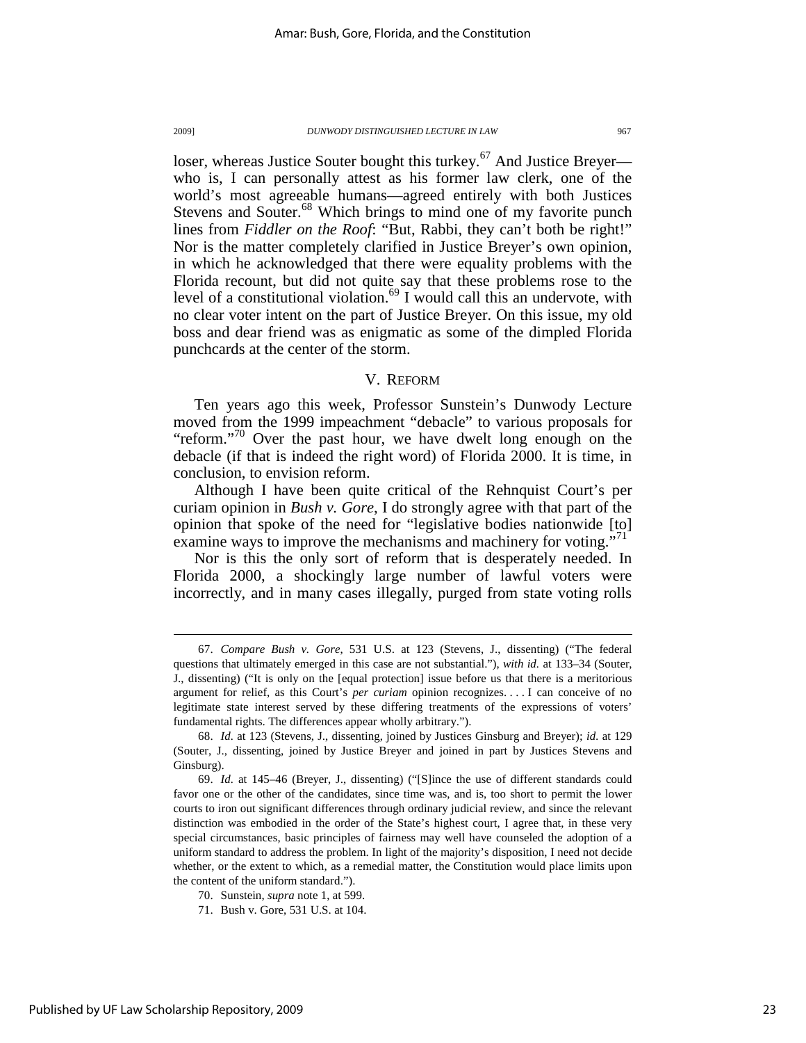2009] *DUNWODY DISTINGUISHED LECTURE IN LAW* 967

loser, whereas Justice Souter bought this turkey.<sup>67</sup> And Justice Breyer who is, I can personally attest as his former law clerk, one of the world's most agreeable humans—agreed entirely with both Justices Stevens and Souter.<sup>68</sup> Which brings to mind one of my favorite punch lines from *Fiddler on the Roof*: "But, Rabbi, they can't both be right!" Nor is the matter completely clarified in Justice Breyer's own opinion, in which he acknowledged that there were equality problems with the Florida recount, but did not quite say that these problems rose to the level of a constitutional violation.<sup>69</sup> I would call this an undervote, with no clear voter intent on the part of Justice Breyer. On this issue, my old boss and dear friend was as enigmatic as some of the dimpled Florida punchcards at the center of the storm.

### V. REFORM

Ten years ago this week, Professor Sunstein's Dunwody Lecture moved from the 1999 impeachment "debacle" to various proposals for "reform."<sup>70</sup> Over the past hour, we have dwelt long enough on the debacle (if that is indeed the right word) of Florida 2000. It is time, in conclusion, to envision reform.

Although I have been quite critical of the Rehnquist Court's per curiam opinion in *Bush v. Gore*, I do strongly agree with that part of the opinion that spoke of the need for "legislative bodies nationwide [to] examine ways to improve the mechanisms and machinery for voting." $\cdot$ 

Nor is this the only sort of reform that is desperately needed. In Florida 2000, a shockingly large number of lawful voters were incorrectly, and in many cases illegally, purged from state voting rolls

 <sup>67.</sup> *Compare Bush v. Gore*, 531 U.S. at 123 (Stevens, J., dissenting) ("The federal questions that ultimately emerged in this case are not substantial."), *with id.* at 133–34 (Souter, J., dissenting) ("It is only on the [equal protection] issue before us that there is a meritorious argument for relief, as this Court's *per curiam* opinion recognizes. . . . I can conceive of no legitimate state interest served by these differing treatments of the expressions of voters' fundamental rights. The differences appear wholly arbitrary.").

 <sup>68.</sup> *Id.* at 123 (Stevens, J., dissenting, joined by Justices Ginsburg and Breyer); *id.* at 129 (Souter, J., dissenting, joined by Justice Breyer and joined in part by Justices Stevens and Ginsburg).

 <sup>69.</sup> *Id.* at 145–46 (Breyer, J., dissenting) ("[S]ince the use of different standards could favor one or the other of the candidates, since time was, and is, too short to permit the lower courts to iron out significant differences through ordinary judicial review, and since the relevant distinction was embodied in the order of the State's highest court, I agree that, in these very special circumstances, basic principles of fairness may well have counseled the adoption of a uniform standard to address the problem. In light of the majority's disposition, I need not decide whether, or the extent to which, as a remedial matter, the Constitution would place limits upon the content of the uniform standard.").

 <sup>70.</sup> Sunstein, *supra* note 1, at 599.

 <sup>71.</sup> Bush v. Gore, 531 U.S. at 104.